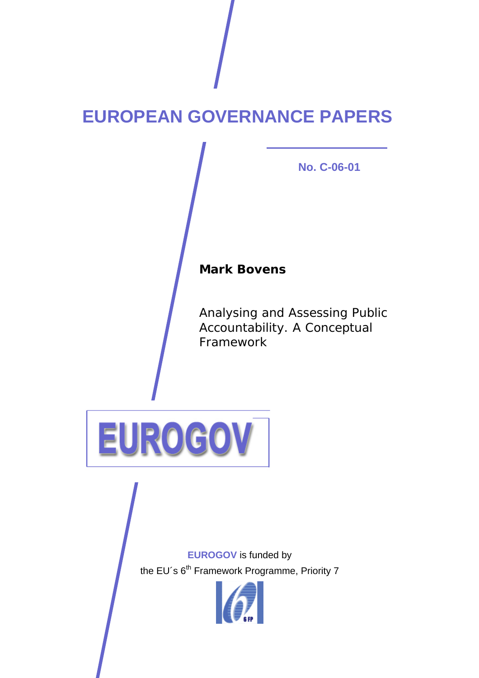# **EUROPEAN GOVERNANCE PAPERS**

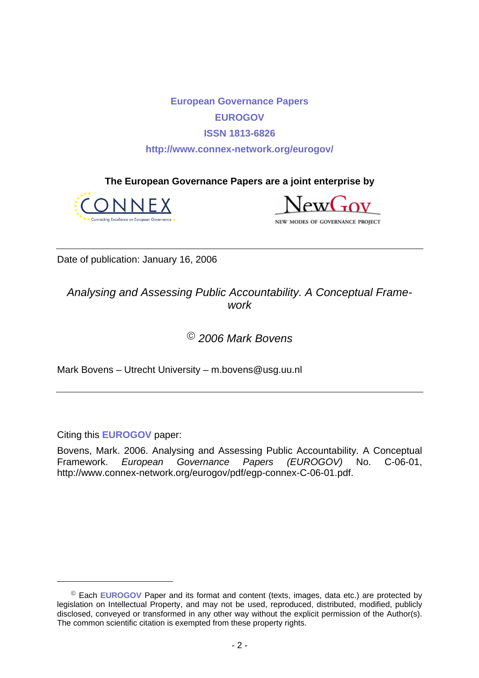**European Governance Papers EUROGOV ISSN 1813-6826 http://www.connex-network.org/eurogov/**

**The European Governance Papers are a joint enterprise by** 



NEW MODES OF GOVERNANCE PROJECT

Date of publication: January 16, 2006

*Analysing and Assessing Public Accountability. A Conceptual Framework* 

© *2006 Mark Bovens* 

Mark Bovens – Utrecht University – m.bovens@usg.uu.nl

Citing this **EUROGOV** paper:

l

Bovens, Mark. 2006. Analysing and Assessing Public Accountability. A Conceptual Framework. *European Governance Papers (EUROGOV)* No. C-06-01, http://www.connex-network.org/eurogov/pdf/egp-connex-C-06-01.pdf.

<sup>©</sup> Each **EUROGOV** Paper and its format and content (texts, images, data etc.) are protected by legislation on Intellectual Property, and may not be used, reproduced, distributed, modified, publicly disclosed, conveyed or transformed in any other way without the explicit permission of the Author(s). The common scientific citation is exempted from these property rights.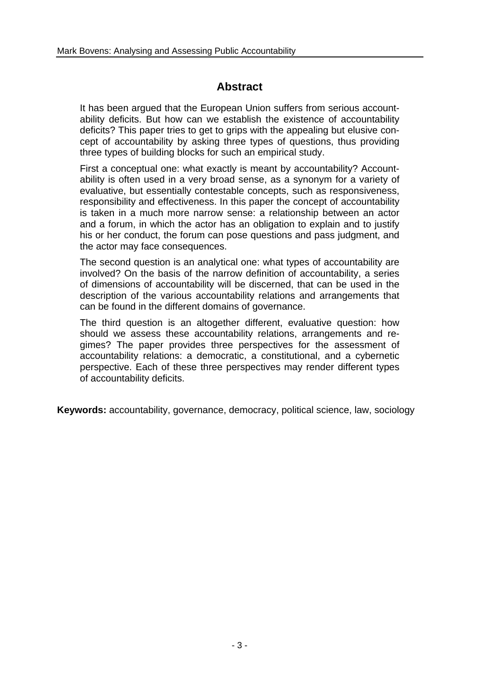# **Abstract**

It has been argued that the European Union suffers from serious accountability deficits. But how can we establish the existence of accountability deficits? This paper tries to get to grips with the appealing but elusive concept of accountability by asking three types of questions, thus providing three types of building blocks for such an empirical study.

First a conceptual one: what exactly is meant by accountability? Accountability is often used in a very broad sense, as a synonym for a variety of evaluative, but essentially contestable concepts, such as responsiveness, responsibility and effectiveness. In this paper the concept of accountability is taken in a much more narrow sense: a relationship between an actor and a forum, in which the actor has an obligation to explain and to justify his or her conduct, the forum can pose questions and pass judgment, and the actor may face consequences.

The second question is an analytical one: what types of accountability are involved? On the basis of the narrow definition of accountability, a series of dimensions of accountability will be discerned, that can be used in the description of the various accountability relations and arrangements that can be found in the different domains of governance.

The third question is an altogether different, evaluative question: how should we assess these accountability relations, arrangements and regimes? The paper provides three perspectives for the assessment of accountability relations: a democratic, a constitutional, and a cybernetic perspective. Each of these three perspectives may render different types of accountability deficits.

**Keywords:** accountability, governance, democracy, political science, law, sociology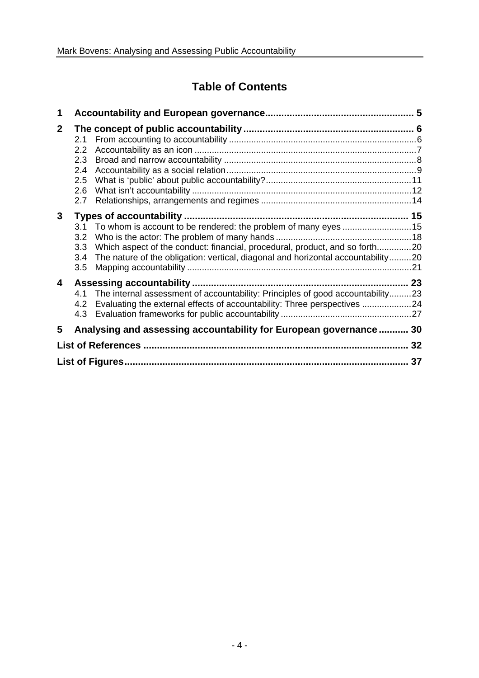# **Table of Contents**

| 1            |                                                           |                                                                                                                                                                 |  |  |  |  |
|--------------|-----------------------------------------------------------|-----------------------------------------------------------------------------------------------------------------------------------------------------------------|--|--|--|--|
| $\mathbf{2}$ | 2.2 <sub>2</sub><br>2.3<br>2.4<br>2.5<br>2.6<br>2.7       |                                                                                                                                                                 |  |  |  |  |
| 3            | 3.1<br>3.2 <sub>1</sub><br>3.3 <sub>2</sub><br>3.4<br>3.5 | Which aspect of the conduct: financial, procedural, product, and so forth20<br>The nature of the obligation: vertical, diagonal and horizontal accountability20 |  |  |  |  |
| 4            | 4.2<br>4.3                                                | 4.1 The internal assessment of accountability: Principles of good accountability23<br>Evaluating the external effects of accountability: Three perspectives 24  |  |  |  |  |
| 5            |                                                           | Analysing and assessing accountability for European governance 30                                                                                               |  |  |  |  |
|              |                                                           |                                                                                                                                                                 |  |  |  |  |
|              |                                                           |                                                                                                                                                                 |  |  |  |  |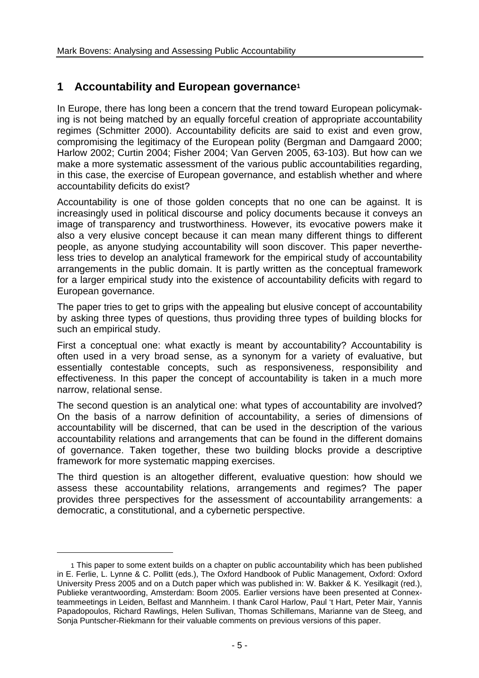# **1 Accountability and European governance1**

In Europe, there has long been a concern that the trend toward European policymaking is not being matched by an equally forceful creation of appropriate accountability regimes (Schmitter 2000). Accountability deficits are said to exist and even grow, compromising the legitimacy of the European polity (Bergman and Damgaard 2000; Harlow 2002; Curtin 2004; Fisher 2004; Van Gerven 2005, 63-103). But how can we make a more systematic assessment of the various public accountabilities regarding, in this case, the exercise of European governance, and establish whether and where accountability deficits do exist?

Accountability is one of those golden concepts that no one can be against. It is increasingly used in political discourse and policy documents because it conveys an image of transparency and trustworthiness. However, its evocative powers make it also a very elusive concept because it can mean many different things to different people, as anyone studying accountability will soon discover. This paper nevertheless tries to develop an analytical framework for the empirical study of accountability arrangements in the public domain. It is partly written as the conceptual framework for a larger empirical study into the existence of accountability deficits with regard to European governance.

The paper tries to get to grips with the appealing but elusive concept of accountability by asking three types of questions, thus providing three types of building blocks for such an empirical study.

First a conceptual one: what exactly is meant by accountability? Accountability is often used in a very broad sense, as a synonym for a variety of evaluative, but essentially contestable concepts, such as responsiveness, responsibility and effectiveness. In this paper the concept of accountability is taken in a much more narrow, relational sense.

The second question is an analytical one: what types of accountability are involved? On the basis of a narrow definition of accountability, a series of dimensions of accountability will be discerned, that can be used in the description of the various accountability relations and arrangements that can be found in the different domains of governance. Taken together, these two building blocks provide a descriptive framework for more systematic mapping exercises.

The third question is an altogether different, evaluative question: how should we assess these accountability relations, arrangements and regimes? The paper provides three perspectives for the assessment of accountability arrangements: a democratic, a constitutional, and a cybernetic perspective.

l

<sup>1</sup> This paper to some extent builds on a chapter on public accountability which has been published in E. Ferlie, L. Lynne & C. Pollitt (eds.), The Oxford Handbook of Public Management, Oxford: Oxford University Press 2005 and on a Dutch paper which was published in: W. Bakker & K. Yesilkagit (red.), Publieke verantwoording, Amsterdam: Boom 2005. Earlier versions have been presented at Connexteammeetings in Leiden, Belfast and Mannheim. I thank Carol Harlow, Paul 't Hart, Peter Mair, Yannis Papadopoulos, Richard Rawlings, Helen Sullivan, Thomas Schillemans, Marianne van de Steeg, and Sonja Puntscher-Riekmann for their valuable comments on previous versions of this paper.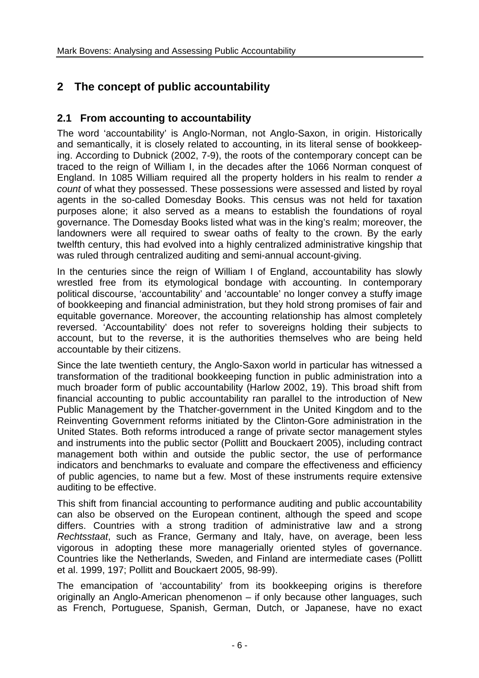# **2 The concept of public accountability**

# **2.1 From accounting to accountability**

The word 'accountability' is Anglo-Norman, not Anglo-Saxon, in origin. Historically and semantically, it is closely related to accounting, in its literal sense of bookkeeping. According to Dubnick (2002, 7-9), the roots of the contemporary concept can be traced to the reign of William I, in the decades after the 1066 Norman conquest of England. In 1085 William required all the property holders in his realm to render *a count* of what they possessed. These possessions were assessed and listed by royal agents in the so-called Domesday Books. This census was not held for taxation purposes alone; it also served as a means to establish the foundations of royal governance. The Domesday Books listed what was in the king's realm; moreover, the landowners were all required to swear oaths of fealty to the crown. By the early twelfth century, this had evolved into a highly centralized administrative kingship that was ruled through centralized auditing and semi-annual account-giving.

In the centuries since the reign of William I of England, accountability has slowly wrestled free from its etymological bondage with accounting. In contemporary political discourse, 'accountability' and 'accountable' no longer convey a stuffy image of bookkeeping and financial administration, but they hold strong promises of fair and equitable governance. Moreover, the accounting relationship has almost completely reversed. 'Accountability' does not refer to sovereigns holding their subjects to account, but to the reverse, it is the authorities themselves who are being held accountable by their citizens.

Since the late twentieth century, the Anglo-Saxon world in particular has witnessed a transformation of the traditional bookkeeping function in public administration into a much broader form of public accountability (Harlow 2002, 19). This broad shift from financial accounting to public accountability ran parallel to the introduction of New Public Management by the Thatcher-government in the United Kingdom and to the Reinventing Government reforms initiated by the Clinton-Gore administration in the United States. Both reforms introduced a range of private sector management styles and instruments into the public sector (Pollitt and Bouckaert 2005), including contract management both within and outside the public sector, the use of performance indicators and benchmarks to evaluate and compare the effectiveness and efficiency of public agencies, to name but a few. Most of these instruments require extensive auditing to be effective.

This shift from financial accounting to performance auditing and public accountability can also be observed on the European continent, although the speed and scope differs. Countries with a strong tradition of administrative law and a strong *Rechtsstaat*, such as France, Germany and Italy, have, on average, been less vigorous in adopting these more managerially oriented styles of governance. Countries like the Netherlands, Sweden, and Finland are intermediate cases (Pollitt et al. 1999, 197; Pollitt and Bouckaert 2005, 98-99).

The emancipation of 'accountability' from its bookkeeping origins is therefore originally an Anglo-American phenomenon – if only because other languages, such as French, Portuguese, Spanish, German, Dutch, or Japanese, have no exact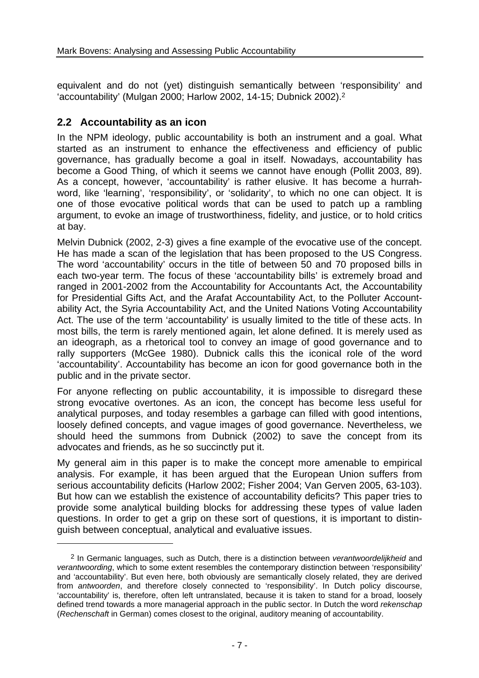equivalent and do not (yet) distinguish semantically between 'responsibility' and 'accountability' (Mulgan 2000; Harlow 2002, 14-15; Dubnick 2002).2

### **2.2 Accountability as an icon**

l

In the NPM ideology, public accountability is both an instrument and a goal. What started as an instrument to enhance the effectiveness and efficiency of public governance, has gradually become a goal in itself. Nowadays, accountability has become a Good Thing, of which it seems we cannot have enough (Pollit 2003, 89). As a concept, however, 'accountability' is rather elusive. It has become a hurrahword, like 'learning', 'responsibility', or 'solidarity', to which no one can object. It is one of those evocative political words that can be used to patch up a rambling argument, to evoke an image of trustworthiness, fidelity, and justice, or to hold critics at bay.

Melvin Dubnick (2002, 2-3) gives a fine example of the evocative use of the concept. He has made a scan of the legislation that has been proposed to the US Congress. The word 'accountability' occurs in the title of between 50 and 70 proposed bills in each two-year term. The focus of these 'accountability bills' is extremely broad and ranged in 2001-2002 from the Accountability for Accountants Act, the Accountability for Presidential Gifts Act, and the Arafat Accountability Act, to the Polluter Accountability Act, the Syria Accountability Act, and the United Nations Voting Accountability Act. The use of the term 'accountability' is usually limited to the title of these acts. In most bills, the term is rarely mentioned again, let alone defined. It is merely used as an ideograph, as a rhetorical tool to convey an image of good governance and to rally supporters (McGee 1980). Dubnick calls this the iconical role of the word 'accountability'. Accountability has become an icon for good governance both in the public and in the private sector.

For anyone reflecting on public accountability, it is impossible to disregard these strong evocative overtones. As an icon, the concept has become less useful for analytical purposes, and today resembles a garbage can filled with good intentions, loosely defined concepts, and vague images of good governance. Nevertheless, we should heed the summons from Dubnick (2002) to save the concept from its advocates and friends, as he so succinctly put it.

My general aim in this paper is to make the concept more amenable to empirical analysis. For example, it has been argued that the European Union suffers from serious accountability deficits (Harlow 2002; Fisher 2004; Van Gerven 2005, 63-103). But how can we establish the existence of accountability deficits? This paper tries to provide some analytical building blocks for addressing these types of value laden questions. In order to get a grip on these sort of questions, it is important to distinguish between conceptual, analytical and evaluative issues.

<sup>2</sup> In Germanic languages, such as Dutch, there is a distinction between *verantwoordelijkheid* and *verantwoording*, which to some extent resembles the contemporary distinction between 'responsibility' and 'accountability'. But even here, both obviously are semantically closely related, they are derived from *antwoorden*, and therefore closely connected to 'responsibility'. In Dutch policy discourse, 'accountability' is, therefore, often left untranslated, because it is taken to stand for a broad, loosely defined trend towards a more managerial approach in the public sector. In Dutch the word *rekenschap* (*Rechenschaft* in German) comes closest to the original, auditory meaning of accountability.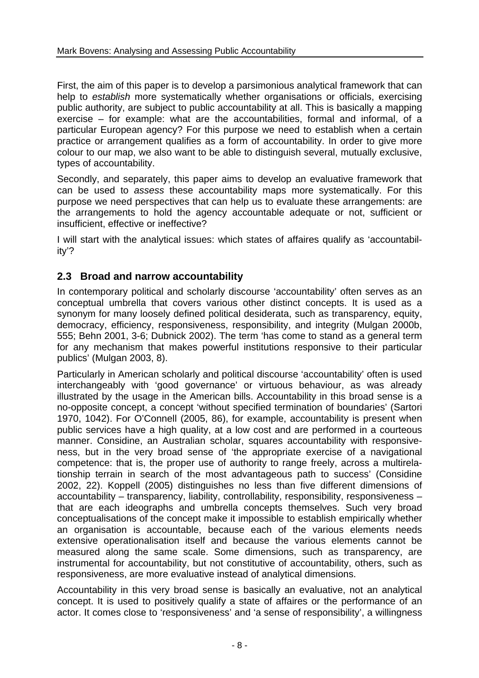First, the aim of this paper is to develop a parsimonious analytical framework that can help to *establish* more systematically whether organisations or officials, exercising public authority, are subject to public accountability at all. This is basically a mapping exercise – for example: what are the accountabilities, formal and informal, of a particular European agency? For this purpose we need to establish when a certain practice or arrangement qualifies as a form of accountability. In order to give more colour to our map, we also want to be able to distinguish several, mutually exclusive, types of accountability.

Secondly, and separately, this paper aims to develop an evaluative framework that can be used to *assess* these accountability maps more systematically. For this purpose we need perspectives that can help us to evaluate these arrangements: are the arrangements to hold the agency accountable adequate or not, sufficient or insufficient, effective or ineffective?

I will start with the analytical issues: which states of affaires qualify as 'accountability'?

# **2.3 Broad and narrow accountability**

In contemporary political and scholarly discourse 'accountability' often serves as an conceptual umbrella that covers various other distinct concepts. It is used as a synonym for many loosely defined political desiderata, such as transparency, equity, democracy, efficiency, responsiveness, responsibility, and integrity (Mulgan 2000b, 555; Behn 2001, 3-6; Dubnick 2002). The term 'has come to stand as a general term for any mechanism that makes powerful institutions responsive to their particular publics' (Mulgan 2003, 8).

Particularly in American scholarly and political discourse 'accountability' often is used interchangeably with 'good governance' or virtuous behaviour, as was already illustrated by the usage in the American bills. Accountability in this broad sense is a no-opposite concept, a concept 'without specified termination of boundaries' (Sartori 1970, 1042). For O'Connell (2005, 86), for example, accountability is present when public services have a high quality, at a low cost and are performed in a courteous manner. Considine, an Australian scholar, squares accountability with responsiveness, but in the very broad sense of 'the appropriate exercise of a navigational competence: that is, the proper use of authority to range freely, across a multirelationship terrain in search of the most advantageous path to success' (Considine 2002, 22). Koppell (2005) distinguishes no less than five different dimensions of accountability – transparency, liability, controllability, responsibility, responsiveness – that are each ideographs and umbrella concepts themselves. Such very broad conceptualisations of the concept make it impossible to establish empirically whether an organisation is accountable, because each of the various elements needs extensive operationalisation itself and because the various elements cannot be measured along the same scale. Some dimensions, such as transparency, are instrumental for accountability, but not constitutive of accountability, others, such as responsiveness, are more evaluative instead of analytical dimensions.

Accountability in this very broad sense is basically an evaluative, not an analytical concept. It is used to positively qualify a state of affaires or the performance of an actor. It comes close to 'responsiveness' and 'a sense of responsibility', a willingness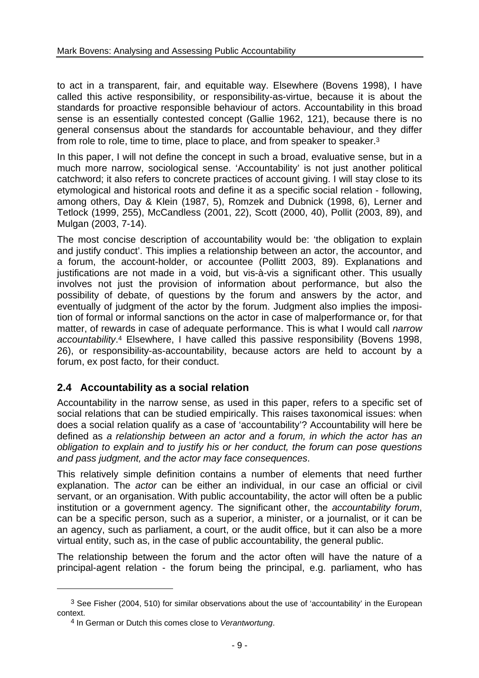to act in a transparent, fair, and equitable way. Elsewhere (Bovens 1998), I have called this active responsibility, or responsibility-as-virtue, because it is about the standards for proactive responsible behaviour of actors. Accountability in this broad sense is an essentially contested concept (Gallie 1962, 121), because there is no general consensus about the standards for accountable behaviour, and they differ from role to role, time to time, place to place, and from speaker to speaker.3

In this paper, I will not define the concept in such a broad, evaluative sense, but in a much more narrow, sociological sense. 'Accountability' is not just another political catchword; it also refers to concrete practices of account giving. I will stay close to its etymological and historical roots and define it as a specific social relation - following, among others, Day & Klein (1987, 5), Romzek and Dubnick (1998, 6), Lerner and Tetlock (1999, 255), McCandless (2001, 22), Scott (2000, 40), Pollit (2003, 89), and Mulgan (2003, 7-14).

The most concise description of accountability would be: 'the obligation to explain and justify conduct'. This implies a relationship between an actor, the accountor, and a forum, the account-holder, or accountee (Pollitt 2003, 89). Explanations and justifications are not made in a void, but vis-à-vis a significant other. This usually involves not just the provision of information about performance, but also the possibility of debate, of questions by the forum and answers by the actor, and eventually of judgment of the actor by the forum. Judgment also implies the imposition of formal or informal sanctions on the actor in case of malperformance or, for that matter, of rewards in case of adequate performance. This is what I would call *narrow accountability*.4 Elsewhere, I have called this passive responsibility (Bovens 1998, 26), or responsibility-as-accountability, because actors are held to account by a forum, ex post facto, for their conduct.

# **2.4 Accountability as a social relation**

Accountability in the narrow sense, as used in this paper, refers to a specific set of social relations that can be studied empirically. This raises taxonomical issues: when does a social relation qualify as a case of 'accountability'? Accountability will here be defined as *a relationship between an actor and a forum, in which the actor has an obligation to explain and to justify his or her conduct, the forum can pose questions and pass judgment, and the actor may face consequences*.

This relatively simple definition contains a number of elements that need further explanation. The *actor* can be either an individual, in our case an official or civil servant, or an organisation. With public accountability, the actor will often be a public institution or a government agency. The significant other, the *accountability forum*, can be a specific person, such as a superior, a minister, or a journalist, or it can be an agency, such as parliament, a court, or the audit office, but it can also be a more virtual entity, such as, in the case of public accountability, the general public.

The relationship between the forum and the actor often will have the nature of a principal-agent relation - the forum being the principal, e.g. parliament, who has

l

<sup>&</sup>lt;sup>3</sup> See Fisher (2004, 510) for similar observations about the use of 'accountability' in the European context.

<sup>4</sup> In German or Dutch this comes close to *Verantwortung*.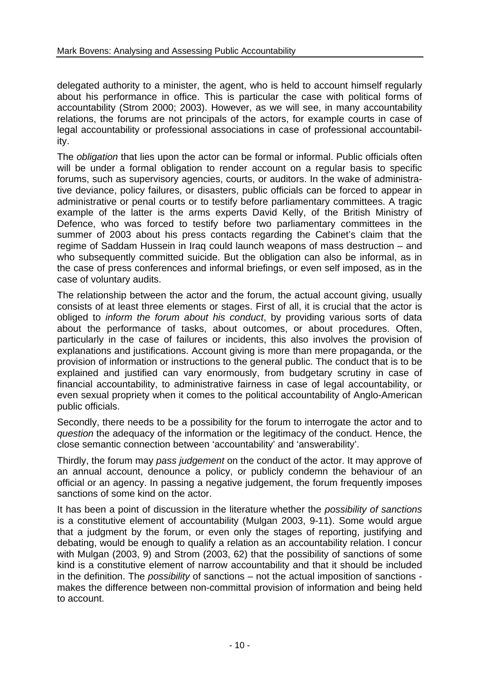delegated authority to a minister, the agent, who is held to account himself regularly about his performance in office. This is particular the case with political forms of accountability (Strom 2000; 2003). However, as we will see, in many accountability relations, the forums are not principals of the actors, for example courts in case of legal accountability or professional associations in case of professional accountability.

The *obligation* that lies upon the actor can be formal or informal. Public officials often will be under a formal obligation to render account on a regular basis to specific forums, such as supervisory agencies, courts, or auditors. In the wake of administrative deviance, policy failures, or disasters, public officials can be forced to appear in administrative or penal courts or to testify before parliamentary committees. A tragic example of the latter is the arms experts David Kelly, of the British Ministry of Defence, who was forced to testify before two parliamentary committees in the summer of 2003 about his press contacts regarding the Cabinet's claim that the regime of Saddam Hussein in Iraq could launch weapons of mass destruction – and who subsequently committed suicide. But the obligation can also be informal, as in the case of press conferences and informal briefings, or even self imposed, as in the case of voluntary audits.

The relationship between the actor and the forum, the actual account giving, usually consists of at least three elements or stages. First of all, it is crucial that the actor is obliged to *inform the forum about his conduct*, by providing various sorts of data about the performance of tasks, about outcomes, or about procedures. Often, particularly in the case of failures or incidents, this also involves the provision of explanations and justifications. Account giving is more than mere propaganda, or the provision of information or instructions to the general public. The conduct that is to be explained and justified can vary enormously, from budgetary scrutiny in case of financial accountability, to administrative fairness in case of legal accountability, or even sexual propriety when it comes to the political accountability of Anglo-American public officials.

Secondly, there needs to be a possibility for the forum to interrogate the actor and to *question* the adequacy of the information or the legitimacy of the conduct. Hence, the close semantic connection between 'accountability' and 'answerability'.

Thirdly, the forum may *pass judgement* on the conduct of the actor. It may approve of an annual account, denounce a policy, or publicly condemn the behaviour of an official or an agency. In passing a negative judgement, the forum frequently imposes sanctions of some kind on the actor.

It has been a point of discussion in the literature whether the *possibility of sanctions* is a constitutive element of accountability (Mulgan 2003, 9-11). Some would argue that a judgment by the forum, or even only the stages of reporting, justifying and debating, would be enough to qualify a relation as an accountability relation. I concur with Mulgan (2003, 9) and Strom (2003, 62) that the possibility of sanctions of some kind is a constitutive element of narrow accountability and that it should be included in the definition. The *possibility* of sanctions – not the actual imposition of sanctions makes the difference between non-committal provision of information and being held to account.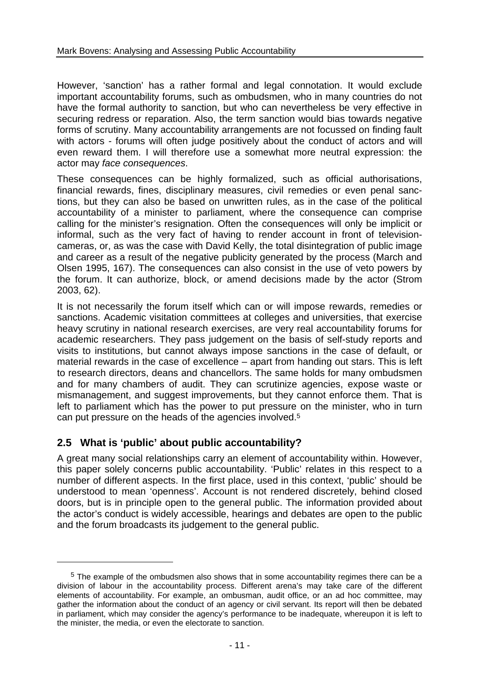However, 'sanction' has a rather formal and legal connotation. It would exclude important accountability forums, such as ombudsmen, who in many countries do not have the formal authority to sanction, but who can nevertheless be very effective in securing redress or reparation. Also, the term sanction would bias towards negative forms of scrutiny. Many accountability arrangements are not focussed on finding fault with actors - forums will often judge positively about the conduct of actors and will even reward them. I will therefore use a somewhat more neutral expression: the actor may *face consequences*.

These consequences can be highly formalized, such as official authorisations, financial rewards, fines, disciplinary measures, civil remedies or even penal sanctions, but they can also be based on unwritten rules, as in the case of the political accountability of a minister to parliament, where the consequence can comprise calling for the minister's resignation. Often the consequences will only be implicit or informal, such as the very fact of having to render account in front of televisioncameras, or, as was the case with David Kelly, the total disintegration of public image and career as a result of the negative publicity generated by the process (March and Olsen 1995, 167). The consequences can also consist in the use of veto powers by the forum. It can authorize, block, or amend decisions made by the actor (Strom 2003, 62).

It is not necessarily the forum itself which can or will impose rewards, remedies or sanctions. Academic visitation committees at colleges and universities, that exercise heavy scrutiny in national research exercises, are very real accountability forums for academic researchers. They pass judgement on the basis of self-study reports and visits to institutions, but cannot always impose sanctions in the case of default, or material rewards in the case of excellence – apart from handing out stars. This is left to research directors, deans and chancellors. The same holds for many ombudsmen and for many chambers of audit. They can scrutinize agencies, expose waste or mismanagement, and suggest improvements, but they cannot enforce them. That is left to parliament which has the power to put pressure on the minister, who in turn can put pressure on the heads of the agencies involved.5

# **2.5 What is 'public' about public accountability?**

l

A great many social relationships carry an element of accountability within. However, this paper solely concerns public accountability. 'Public' relates in this respect to a number of different aspects. In the first place, used in this context, 'public' should be understood to mean 'openness'. Account is not rendered discretely, behind closed doors, but is in principle open to the general public. The information provided about the actor's conduct is widely accessible, hearings and debates are open to the public and the forum broadcasts its judgement to the general public.

<sup>&</sup>lt;sup>5</sup> The example of the ombudsmen also shows that in some accountability regimes there can be a division of labour in the accountability process. Different arena's may take care of the different elements of accountability. For example, an ombusman, audit office, or an ad hoc committee, may gather the information about the conduct of an agency or civil servant. Its report will then be debated in parliament, which may consider the agency's performance to be inadequate, whereupon it is left to the minister, the media, or even the electorate to sanction.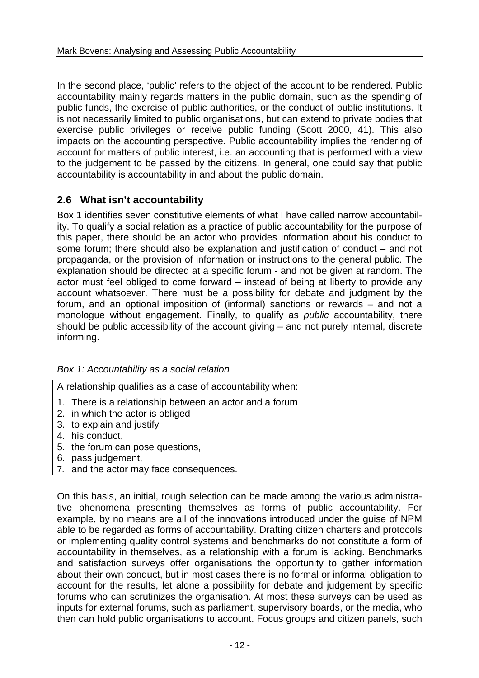In the second place, 'public' refers to the object of the account to be rendered. Public accountability mainly regards matters in the public domain, such as the spending of public funds, the exercise of public authorities, or the conduct of public institutions. It is not necessarily limited to public organisations, but can extend to private bodies that exercise public privileges or receive public funding (Scott 2000, 41). This also impacts on the accounting perspective. Public accountability implies the rendering of account for matters of public interest, i.e. an accounting that is performed with a view to the judgement to be passed by the citizens. In general, one could say that public accountability is accountability in and about the public domain.

# **2.6 What isn't accountability**

Box 1 identifies seven constitutive elements of what I have called narrow accountability. To qualify a social relation as a practice of public accountability for the purpose of this paper, there should be an actor who provides information about his conduct to some forum; there should also be explanation and justification of conduct – and not propaganda, or the provision of information or instructions to the general public. The explanation should be directed at a specific forum - and not be given at random. The actor must feel obliged to come forward – instead of being at liberty to provide any account whatsoever. There must be a possibility for debate and judgment by the forum, and an optional imposition of (informal) sanctions or rewards – and not a monologue without engagement. Finally, to qualify as *public* accountability, there should be public accessibility of the account giving – and not purely internal, discrete informing.

### *Box 1: Accountability as a social relation*

A relationship qualifies as a case of accountability when:

- 1. There is a relationship between an actor and a forum
- 2. in which the actor is obliged
- 3. to explain and justify
- 4. his conduct,
- 5. the forum can pose questions,
- 6. pass judgement,
- 7. and the actor may face consequences.

On this basis, an initial, rough selection can be made among the various administrative phenomena presenting themselves as forms of public accountability. For example, by no means are all of the innovations introduced under the guise of NPM able to be regarded as forms of accountability. Drafting citizen charters and protocols or implementing quality control systems and benchmarks do not constitute a form of accountability in themselves, as a relationship with a forum is lacking. Benchmarks and satisfaction surveys offer organisations the opportunity to gather information about their own conduct, but in most cases there is no formal or informal obligation to account for the results, let alone a possibility for debate and judgement by specific forums who can scrutinizes the organisation. At most these surveys can be used as inputs for external forums, such as parliament, supervisory boards, or the media, who then can hold public organisations to account. Focus groups and citizen panels, such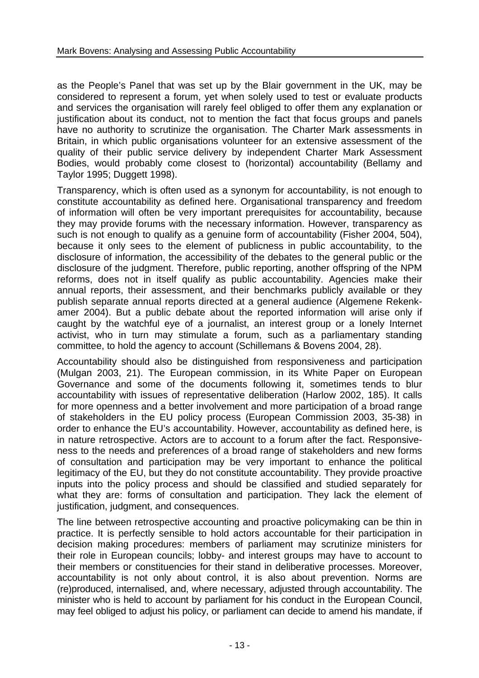as the People's Panel that was set up by the Blair government in the UK, may be considered to represent a forum, yet when solely used to test or evaluate products and services the organisation will rarely feel obliged to offer them any explanation or justification about its conduct, not to mention the fact that focus groups and panels have no authority to scrutinize the organisation. The Charter Mark assessments in Britain, in which public organisations volunteer for an extensive assessment of the quality of their public service delivery by independent Charter Mark Assessment Bodies, would probably come closest to (horizontal) accountability (Bellamy and Taylor 1995; Duggett 1998).

Transparency, which is often used as a synonym for accountability, is not enough to constitute accountability as defined here. Organisational transparency and freedom of information will often be very important prerequisites for accountability, because they may provide forums with the necessary information. However, transparency as such is not enough to qualify as a genuine form of accountability (Fisher 2004, 504), because it only sees to the element of publicness in public accountability, to the disclosure of information, the accessibility of the debates to the general public or the disclosure of the judgment. Therefore, public reporting, another offspring of the NPM reforms, does not in itself qualify as public accountability. Agencies make their annual reports, their assessment, and their benchmarks publicly available or they publish separate annual reports directed at a general audience (Algemene Rekenkamer 2004). But a public debate about the reported information will arise only if caught by the watchful eye of a journalist, an interest group or a lonely Internet activist, who in turn may stimulate a forum, such as a parliamentary standing committee, to hold the agency to account (Schillemans & Bovens 2004, 28).

Accountability should also be distinguished from responsiveness and participation (Mulgan 2003, 21). The European commission, in its White Paper on European Governance and some of the documents following it, sometimes tends to blur accountability with issues of representative deliberation (Harlow 2002, 185). It calls for more openness and a better involvement and more participation of a broad range of stakeholders in the EU policy process (European Commission 2003, 35-38) in order to enhance the EU's accountability. However, accountability as defined here, is in nature retrospective. Actors are to account to a forum after the fact. Responsiveness to the needs and preferences of a broad range of stakeholders and new forms of consultation and participation may be very important to enhance the political legitimacy of the EU, but they do not constitute accountability. They provide proactive inputs into the policy process and should be classified and studied separately for what they are: forms of consultation and participation. They lack the element of justification, judgment, and consequences.

The line between retrospective accounting and proactive policymaking can be thin in practice. It is perfectly sensible to hold actors accountable for their participation in decision making procedures: members of parliament may scrutinize ministers for their role in European councils; lobby- and interest groups may have to account to their members or constituencies for their stand in deliberative processes. Moreover, accountability is not only about control, it is also about prevention. Norms are (re)produced, internalised, and, where necessary, adjusted through accountability. The minister who is held to account by parliament for his conduct in the European Council, may feel obliged to adjust his policy, or parliament can decide to amend his mandate, if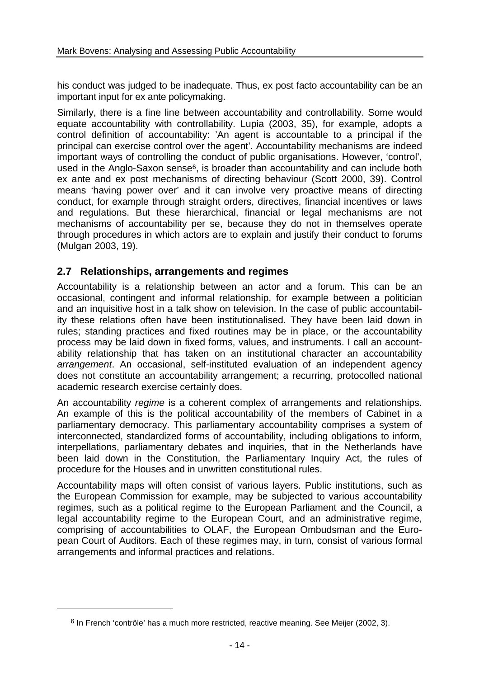his conduct was judged to be inadequate. Thus, ex post facto accountability can be an important input for ex ante policymaking.

Similarly, there is a fine line between accountability and controllability. Some would equate accountability with controllability. Lupia (2003, 35), for example, adopts a control definition of accountability: 'An agent is accountable to a principal if the principal can exercise control over the agent'. Accountability mechanisms are indeed important ways of controlling the conduct of public organisations. However, 'control', used in the Anglo-Saxon sense<sup>6</sup>, is broader than accountability and can include both ex ante and ex post mechanisms of directing behaviour (Scott 2000, 39). Control means 'having power over' and it can involve very proactive means of directing conduct, for example through straight orders, directives, financial incentives or laws and regulations. But these hierarchical, financial or legal mechanisms are not mechanisms of accountability per se, because they do not in themselves operate through procedures in which actors are to explain and justify their conduct to forums (Mulgan 2003, 19).

# **2.7 Relationships, arrangements and regimes**

Accountability is a relationship between an actor and a forum. This can be an occasional, contingent and informal relationship, for example between a politician and an inquisitive host in a talk show on television. In the case of public accountability these relations often have been institutionalised. They have been laid down in rules; standing practices and fixed routines may be in place, or the accountability process may be laid down in fixed forms, values, and instruments. I call an accountability relationship that has taken on an institutional character an accountability *arrangement*. An occasional, self-instituted evaluation of an independent agency does not constitute an accountability arrangement; a recurring, protocolled national academic research exercise certainly does.

An accountability *regime* is a coherent complex of arrangements and relationships. An example of this is the political accountability of the members of Cabinet in a parliamentary democracy. This parliamentary accountability comprises a system of interconnected, standardized forms of accountability, including obligations to inform, interpellations, parliamentary debates and inquiries, that in the Netherlands have been laid down in the Constitution, the Parliamentary Inquiry Act, the rules of procedure for the Houses and in unwritten constitutional rules.

Accountability maps will often consist of various layers. Public institutions, such as the European Commission for example, may be subjected to various accountability regimes, such as a political regime to the European Parliament and the Council, a legal accountability regime to the European Court, and an administrative regime, comprising of accountabilities to OLAF, the European Ombudsman and the European Court of Auditors. Each of these regimes may, in turn, consist of various formal arrangements and informal practices and relations.

l

 $6$  In French 'contrôle' has a much more restricted, reactive meaning. See Meijer (2002, 3).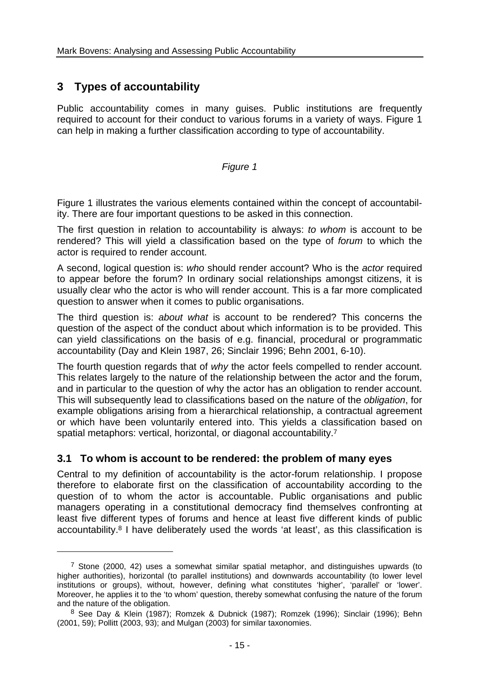# **3 Types of accountability**

l

Public accountability comes in many guises. Public institutions are frequently required to account for their conduct to various forums in a variety of ways. Figure 1 can help in making a further classification according to type of accountability.

#### *Figure 1*

Figure 1 illustrates the various elements contained within the concept of accountability. There are four important questions to be asked in this connection.

The first question in relation to accountability is always: *to whom* is account to be rendered? This will yield a classification based on the type of *forum* to which the actor is required to render account.

A second, logical question is: *who* should render account? Who is the *actor* required to appear before the forum? In ordinary social relationships amongst citizens, it is usually clear who the actor is who will render account. This is a far more complicated question to answer when it comes to public organisations.

The third question is: *about what* is account to be rendered? This concerns the question of the aspect of the conduct about which information is to be provided. This can yield classifications on the basis of e.g. financial, procedural or programmatic accountability (Day and Klein 1987, 26; Sinclair 1996; Behn 2001, 6-10).

The fourth question regards that of *why* the actor feels compelled to render account. This relates largely to the nature of the relationship between the actor and the forum, and in particular to the question of why the actor has an obligation to render account. This will subsequently lead to classifications based on the nature of the *obligation*, for example obligations arising from a hierarchical relationship, a contractual agreement or which have been voluntarily entered into. This yields a classification based on spatial metaphors: vertical, horizontal, or diagonal accountability.7

### **3.1 To whom is account to be rendered: the problem of many eyes**

Central to my definition of accountability is the actor-forum relationship. I propose therefore to elaborate first on the classification of accountability according to the question of to whom the actor is accountable. Public organisations and public managers operating in a constitutional democracy find themselves confronting at least five different types of forums and hence at least five different kinds of public accountability.8 I have deliberately used the words 'at least', as this classification is

 $7$  Stone (2000, 42) uses a somewhat similar spatial metaphor, and distinguishes upwards (to higher authorities), horizontal (to parallel institutions) and downwards accountability (to lower level institutions or groups), without, however, defining what constitutes 'higher', 'parallel' or 'lower'. Moreover, he applies it to the 'to whom' question, thereby somewhat confusing the nature of the forum and the nature of the obligation.

<sup>8</sup> See Day & Klein (1987); Romzek & Dubnick (1987); Romzek (1996); Sinclair (1996); Behn (2001, 59); Pollitt (2003, 93); and Mulgan (2003) for similar taxonomies.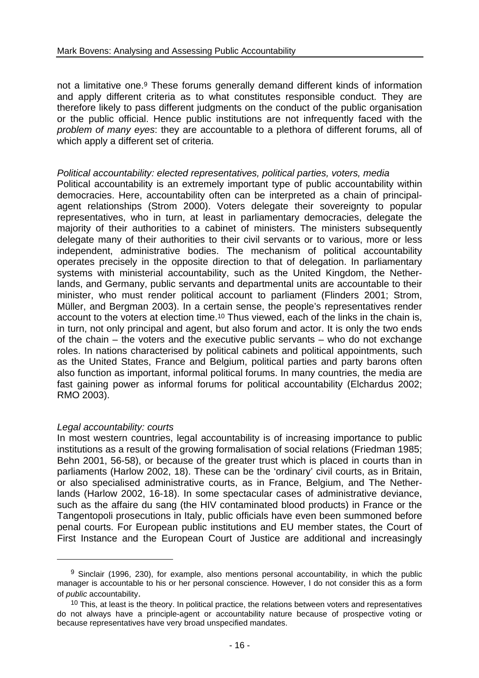not a limitative one.9 These forums generally demand different kinds of information and apply different criteria as to what constitutes responsible conduct. They are therefore likely to pass different judgments on the conduct of the public organisation or the public official. Hence public institutions are not infrequently faced with the *problem of many eyes*: they are accountable to a plethora of different forums, all of which apply a different set of criteria.

#### *Political accountability: elected representatives, political parties, voters, media*

Political accountability is an extremely important type of public accountability within democracies. Here, accountability often can be interpreted as a chain of principalagent relationships (Strom 2000). Voters delegate their sovereignty to popular representatives, who in turn, at least in parliamentary democracies, delegate the majority of their authorities to a cabinet of ministers. The ministers subsequently delegate many of their authorities to their civil servants or to various, more or less independent, administrative bodies. The mechanism of political accountability operates precisely in the opposite direction to that of delegation. In parliamentary systems with ministerial accountability, such as the United Kingdom, the Netherlands, and Germany, public servants and departmental units are accountable to their minister, who must render political account to parliament (Flinders 2001; Strom, Müller, and Bergman 2003). In a certain sense, the people's representatives render account to the voters at election time.10 Thus viewed, each of the links in the chain is, in turn, not only principal and agent, but also forum and actor. It is only the two ends of the chain – the voters and the executive public servants – who do not exchange roles. In nations characterised by political cabinets and political appointments, such as the United States, France and Belgium, political parties and party barons often also function as important, informal political forums. In many countries, the media are fast gaining power as informal forums for political accountability (Elchardus 2002; RMO 2003).

#### *Legal accountability: courts*

l

In most western countries, legal accountability is of increasing importance to public institutions as a result of the growing formalisation of social relations (Friedman 1985; Behn 2001, 56-58), or because of the greater trust which is placed in courts than in parliaments (Harlow 2002, 18). These can be the 'ordinary' civil courts, as in Britain, or also specialised administrative courts, as in France, Belgium, and The Netherlands (Harlow 2002, 16-18). In some spectacular cases of administrative deviance, such as the affaire du sang (the HIV contaminated blood products) in France or the Tangentopoli prosecutions in Italy, public officials have even been summoned before penal courts. For European public institutions and EU member states, the Court of First Instance and the European Court of Justice are additional and increasingly

<sup>9</sup> Sinclair (1996, 230), for example, also mentions personal accountability, in which the public manager is accountable to his or her personal conscience. However, I do not consider this as a form of *public* accountability.

<sup>&</sup>lt;sup>10</sup> This, at least is the theory. In political practice, the relations between voters and representatives do not always have a principle-agent or accountability nature because of prospective voting or because representatives have very broad unspecified mandates.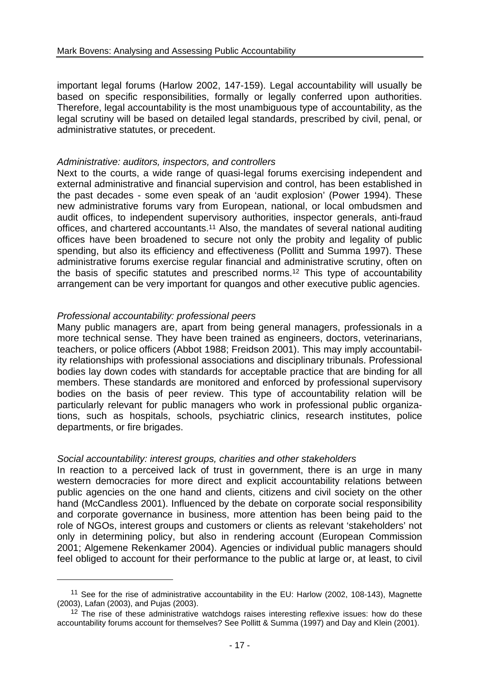important legal forums (Harlow 2002, 147-159). Legal accountability will usually be based on specific responsibilities, formally or legally conferred upon authorities. Therefore, legal accountability is the most unambiguous type of accountability, as the legal scrutiny will be based on detailed legal standards, prescribed by civil, penal, or administrative statutes, or precedent.

#### *Administrative: auditors, inspectors, and controllers*

Next to the courts, a wide range of quasi-legal forums exercising independent and external administrative and financial supervision and control, has been established in the past decades - some even speak of an 'audit explosion' (Power 1994). These new administrative forums vary from European, national, or local ombudsmen and audit offices, to independent supervisory authorities, inspector generals, anti-fraud offices, and chartered accountants.11 Also, the mandates of several national auditing offices have been broadened to secure not only the probity and legality of public spending, but also its efficiency and effectiveness (Pollitt and Summa 1997). These administrative forums exercise regular financial and administrative scrutiny, often on the basis of specific statutes and prescribed norms.12 This type of accountability arrangement can be very important for quangos and other executive public agencies.

#### *Professional accountability: professional peers*

l

Many public managers are, apart from being general managers, professionals in a more technical sense. They have been trained as engineers, doctors, veterinarians, teachers, or police officers (Abbot 1988; Freidson 2001). This may imply accountability relationships with professional associations and disciplinary tribunals. Professional bodies lay down codes with standards for acceptable practice that are binding for all members. These standards are monitored and enforced by professional supervisory bodies on the basis of peer review. This type of accountability relation will be particularly relevant for public managers who work in professional public organizations, such as hospitals, schools, psychiatric clinics, research institutes, police departments, or fire brigades.

#### *Social accountability: interest groups, charities and other stakeholders*

In reaction to a perceived lack of trust in government, there is an urge in many western democracies for more direct and explicit accountability relations between public agencies on the one hand and clients, citizens and civil society on the other hand (McCandless 2001). Influenced by the debate on corporate social responsibility and corporate governance in business, more attention has been being paid to the role of NGOs, interest groups and customers or clients as relevant 'stakeholders' not only in determining policy, but also in rendering account (European Commission 2001; Algemene Rekenkamer 2004). Agencies or individual public managers should feel obliged to account for their performance to the public at large or, at least, to civil

<sup>&</sup>lt;sup>11</sup> See for the rise of administrative accountability in the EU: Harlow (2002, 108-143), Magnette (2003), Lafan (2003), and Pujas (2003).

<sup>&</sup>lt;sup>12</sup> The rise of these administrative watchdogs raises interesting reflexive issues: how do these accountability forums account for themselves? See Pollitt & Summa (1997) and Day and Klein (2001).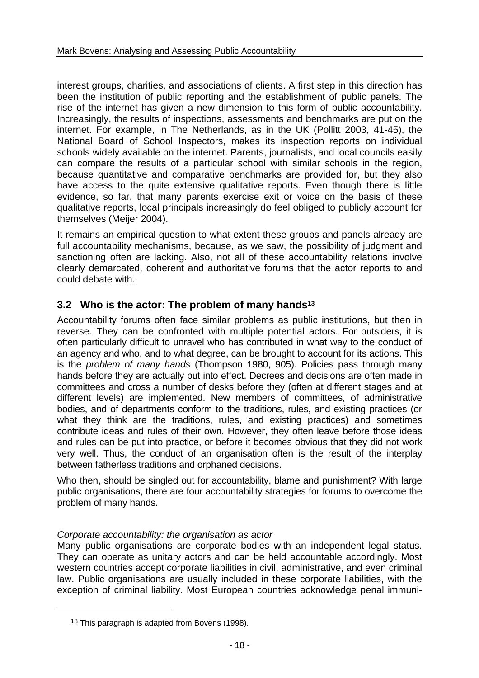interest groups, charities, and associations of clients. A first step in this direction has been the institution of public reporting and the establishment of public panels. The rise of the internet has given a new dimension to this form of public accountability. Increasingly, the results of inspections, assessments and benchmarks are put on the internet. For example, in The Netherlands, as in the UK (Pollitt 2003, 41-45), the National Board of School Inspectors, makes its inspection reports on individual schools widely available on the internet. Parents, journalists, and local councils easily can compare the results of a particular school with similar schools in the region, because quantitative and comparative benchmarks are provided for, but they also have access to the quite extensive qualitative reports. Even though there is little evidence, so far, that many parents exercise exit or voice on the basis of these qualitative reports, local principals increasingly do feel obliged to publicly account for themselves (Meijer 2004).

It remains an empirical question to what extent these groups and panels already are full accountability mechanisms, because, as we saw, the possibility of judgment and sanctioning often are lacking. Also, not all of these accountability relations involve clearly demarcated, coherent and authoritative forums that the actor reports to and could debate with.

# **3.2 Who is the actor: The problem of many hands13**

Accountability forums often face similar problems as public institutions, but then in reverse. They can be confronted with multiple potential actors. For outsiders, it is often particularly difficult to unravel who has contributed in what way to the conduct of an agency and who, and to what degree, can be brought to account for its actions. This is the *problem of many hands* (Thompson 1980, 905). Policies pass through many hands before they are actually put into effect. Decrees and decisions are often made in committees and cross a number of desks before they (often at different stages and at different levels) are implemented. New members of committees, of administrative bodies, and of departments conform to the traditions, rules, and existing practices (or what they think are the traditions, rules, and existing practices) and sometimes contribute ideas and rules of their own. However, they often leave before those ideas and rules can be put into practice, or before it becomes obvious that they did not work very well. Thus, the conduct of an organisation often is the result of the interplay between fatherless traditions and orphaned decisions.

Who then, should be singled out for accountability, blame and punishment? With large public organisations, there are four accountability strategies for forums to overcome the problem of many hands.

### *Corporate accountability: the organisation as actor*

Many public organisations are corporate bodies with an independent legal status. They can operate as unitary actors and can be held accountable accordingly. Most western countries accept corporate liabilities in civil, administrative, and even criminal law. Public organisations are usually included in these corporate liabilities, with the exception of criminal liability. Most European countries acknowledge penal immuni-

l

<sup>&</sup>lt;sup>13</sup> This paragraph is adapted from Bovens (1998).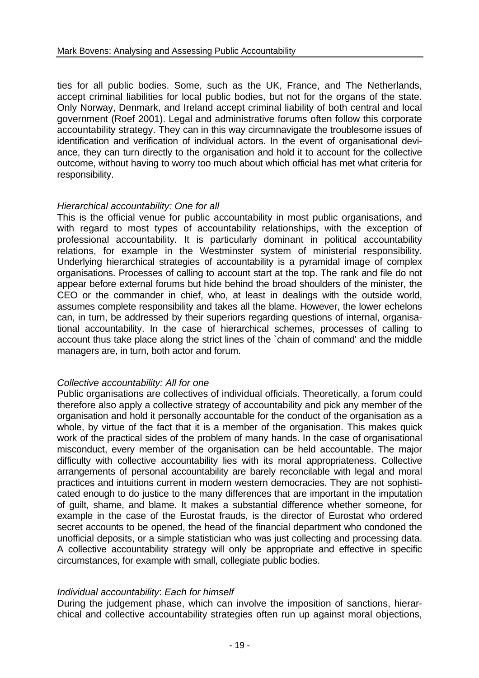ties for all public bodies. Some, such as the UK, France, and The Netherlands, accept criminal liabilities for local public bodies, but not for the organs of the state. Only Norway, Denmark, and Ireland accept criminal liability of both central and local government (Roef 2001). Legal and administrative forums often follow this corporate accountability strategy. They can in this way circumnavigate the troublesome issues of identification and verification of individual actors. In the event of organisational deviance, they can turn directly to the organisation and hold it to account for the collective outcome, without having to worry too much about which official has met what criteria for responsibility.

#### *Hierarchical accountability: One for all*

This is the official venue for public accountability in most public organisations, and with regard to most types of accountability relationships, with the exception of professional accountability*.* It is particularly dominant in political accountability relations, for example in the Westminster system of ministerial responsibility. Underlying hierarchical strategies of accountability is a pyramidal image of complex organisations. Processes of calling to account start at the top. The rank and file do not appear before external forums but hide behind the broad shoulders of the minister, the CEO or the commander in chief, who, at least in dealings with the outside world, assumes complete responsibility and takes all the blame. However, the lower echelons can, in turn, be addressed by their superiors regarding questions of internal, organisational accountability. In the case of hierarchical schemes, processes of calling to account thus take place along the strict lines of the `chain of command' and the middle managers are, in turn, both actor and forum.

#### *Collective accountability: All for one*

Public organisations are collectives of individual officials. Theoretically, a forum could therefore also apply a collective strategy of accountability and pick any member of the organisation and hold it personally accountable for the conduct of the organisation as a whole, by virtue of the fact that it is a member of the organisation. This makes quick work of the practical sides of the problem of many hands. In the case of organisational misconduct, every member of the organisation can be held accountable. The major difficulty with collective accountability lies with its moral appropriateness. Collective arrangements of personal accountability are barely reconcilable with legal and moral practices and intuitions current in modern western democracies. They are not sophisticated enough to do justice to the many differences that are important in the imputation of guilt, shame, and blame. It makes a substantial difference whether someone, for example in the case of the Eurostat frauds, is the director of Eurostat who ordered secret accounts to be opened, the head of the financial department who condoned the unofficial deposits, or a simple statistician who was just collecting and processing data. A collective accountability strategy will only be appropriate and effective in specific circumstances, for example with small, collegiate public bodies.

#### *Individual accountability*: *Each for himself*

During the judgement phase, which can involve the imposition of sanctions, hierarchical and collective accountability strategies often run up against moral objections,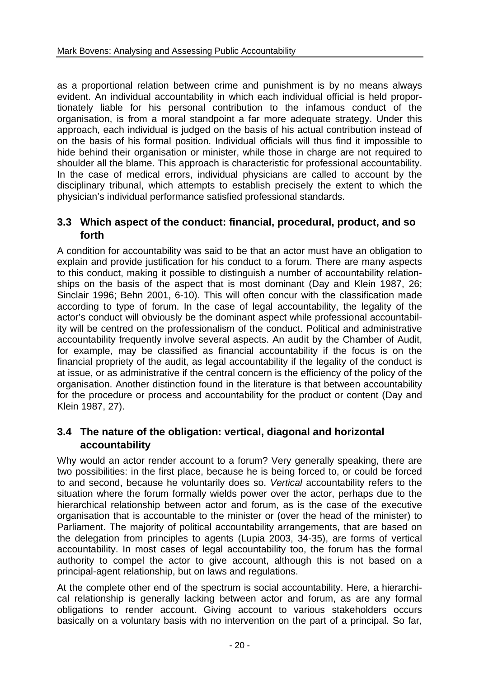as a proportional relation between crime and punishment is by no means always evident. An individual accountability in which each individual official is held proportionately liable for his personal contribution to the infamous conduct of the organisation, is from a moral standpoint a far more adequate strategy. Under this approach, each individual is judged on the basis of his actual contribution instead of on the basis of his formal position. Individual officials will thus find it impossible to hide behind their organisation or minister, while those in charge are not required to shoulder all the blame. This approach is characteristic for professional accountability. In the case of medical errors, individual physicians are called to account by the disciplinary tribunal, which attempts to establish precisely the extent to which the physician's individual performance satisfied professional standards.

### **3.3 Which aspect of the conduct: financial, procedural, product, and so forth**

A condition for accountability was said to be that an actor must have an obligation to explain and provide justification for his conduct to a forum. There are many aspects to this conduct, making it possible to distinguish a number of accountability relationships on the basis of the aspect that is most dominant (Day and Klein 1987, 26; Sinclair 1996; Behn 2001, 6-10). This will often concur with the classification made according to type of forum. In the case of legal accountability, the legality of the actor's conduct will obviously be the dominant aspect while professional accountability will be centred on the professionalism of the conduct. Political and administrative accountability frequently involve several aspects. An audit by the Chamber of Audit, for example, may be classified as financial accountability if the focus is on the financial propriety of the audit, as legal accountability if the legality of the conduct is at issue, or as administrative if the central concern is the efficiency of the policy of the organisation. Another distinction found in the literature is that between accountability for the procedure or process and accountability for the product or content (Day and Klein 1987, 27).

# **3.4 The nature of the obligation: vertical, diagonal and horizontal accountability**

Why would an actor render account to a forum? Very generally speaking, there are two possibilities: in the first place, because he is being forced to, or could be forced to and second, because he voluntarily does so. *Vertical* accountability refers to the situation where the forum formally wields power over the actor, perhaps due to the hierarchical relationship between actor and forum, as is the case of the executive organisation that is accountable to the minister or (over the head of the minister) to Parliament. The majority of political accountability arrangements, that are based on the delegation from principles to agents (Lupia 2003, 34-35), are forms of vertical accountability. In most cases of legal accountability too, the forum has the formal authority to compel the actor to give account, although this is not based on a principal-agent relationship, but on laws and regulations.

At the complete other end of the spectrum is social accountability. Here, a hierarchical relationship is generally lacking between actor and forum, as are any formal obligations to render account. Giving account to various stakeholders occurs basically on a voluntary basis with no intervention on the part of a principal. So far,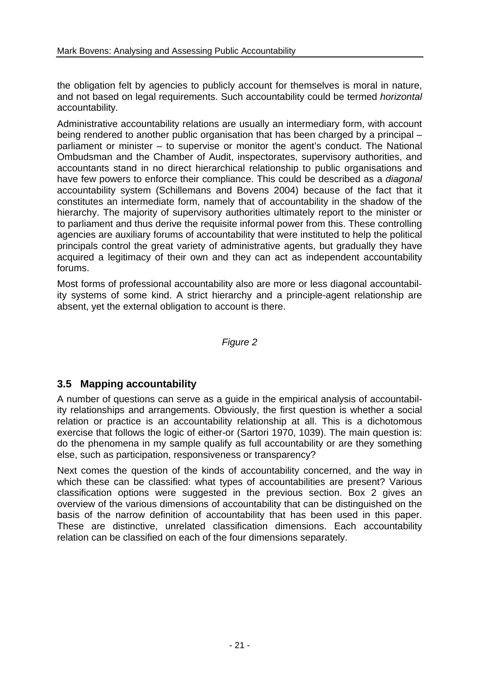the obligation felt by agencies to publicly account for themselves is moral in nature, and not based on legal requirements. Such accountability could be termed *horizontal*  accountability*.* 

Administrative accountability relations are usually an intermediary form, with account being rendered to another public organisation that has been charged by a principal – parliament or minister – to supervise or monitor the agent's conduct. The National Ombudsman and the Chamber of Audit, inspectorates, supervisory authorities, and accountants stand in no direct hierarchical relationship to public organisations and have few powers to enforce their compliance. This could be described as a *diagonal* accountability system (Schillemans and Bovens 2004) because of the fact that it constitutes an intermediate form, namely that of accountability in the shadow of the hierarchy. The majority of supervisory authorities ultimately report to the minister or to parliament and thus derive the requisite informal power from this. These controlling agencies are auxiliary forums of accountability that were instituted to help the political principals control the great variety of administrative agents, but gradually they have acquired a legitimacy of their own and they can act as independent accountability forums.

Most forms of professional accountability also are more or less diagonal accountability systems of some kind. A strict hierarchy and a principle-agent relationship are absent, yet the external obligation to account is there.

### *Figure 2*

# **3.5 Mapping accountability**

A number of questions can serve as a guide in the empirical analysis of accountability relationships and arrangements. Obviously, the first question is whether a social relation or practice is an accountability relationship at all. This is a dichotomous exercise that follows the logic of either-or (Sartori 1970, 1039). The main question is: do the phenomena in my sample qualify as full accountability or are they something else, such as participation, responsiveness or transparency?

Next comes the question of the kinds of accountability concerned, and the way in which these can be classified: what types of accountabilities are present? Various classification options were suggested in the previous section. Box 2 gives an overview of the various dimensions of accountability that can be distinguished on the basis of the narrow definition of accountability that has been used in this paper. These are distinctive, unrelated classification dimensions. Each accountability relation can be classified on each of the four dimensions separately.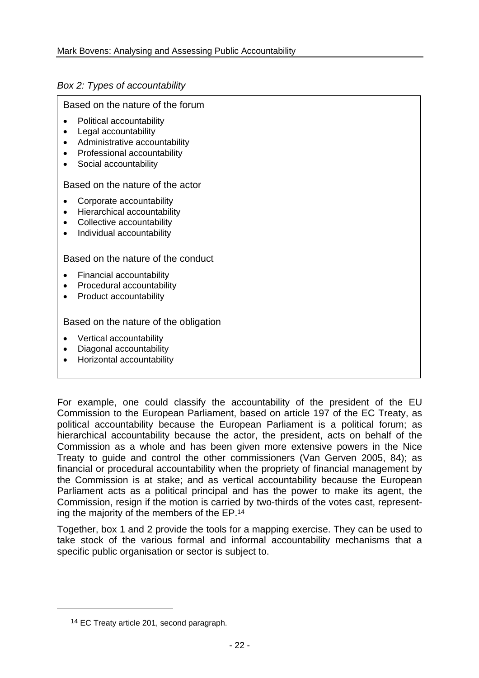#### *Box 2: Types of accountability*

#### Based on the nature of the forum

- Political accountability
- Legal accountability
- Administrative accountability
- Professional accountability
- Social accountability

#### Based on the nature of the actor

- Corporate accountability
- Hierarchical accountability
- Collective accountability
- Individual accountability

#### Based on the nature of the conduct

- Financial accountability
- Procedural accountability
- Product accountability

#### Based on the nature of the obligation

- Vertical accountability
- Diagonal accountability
- Horizontal accountability

For example, one could classify the accountability of the president of the EU Commission to the European Parliament, based on article 197 of the EC Treaty, as political accountability because the European Parliament is a political forum; as hierarchical accountability because the actor, the president, acts on behalf of the Commission as a whole and has been given more extensive powers in the Nice Treaty to guide and control the other commissioners (Van Gerven 2005, 84); as financial or procedural accountability when the propriety of financial management by the Commission is at stake; and as vertical accountability because the European Parliament acts as a political principal and has the power to make its agent, the Commission, resign if the motion is carried by two-thirds of the votes cast, representing the majority of the members of the EP.14

Together, box 1 and 2 provide the tools for a mapping exercise. They can be used to take stock of the various formal and informal accountability mechanisms that a specific public organisation or sector is subject to.

l

<sup>&</sup>lt;sup>14</sup> EC Treaty article 201, second paragraph.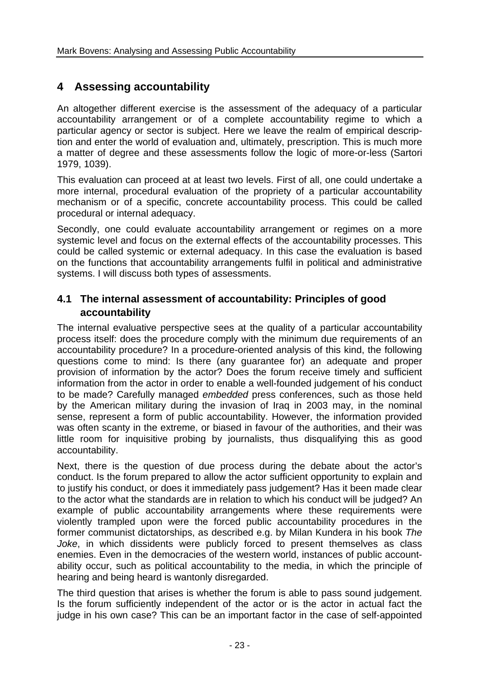# **4 Assessing accountability**

An altogether different exercise is the assessment of the adequacy of a particular accountability arrangement or of a complete accountability regime to which a particular agency or sector is subject. Here we leave the realm of empirical description and enter the world of evaluation and, ultimately, prescription. This is much more a matter of degree and these assessments follow the logic of more-or-less (Sartori 1979, 1039).

This evaluation can proceed at at least two levels. First of all, one could undertake a more internal, procedural evaluation of the propriety of a particular accountability mechanism or of a specific, concrete accountability process. This could be called procedural or internal adequacy.

Secondly, one could evaluate accountability arrangement or regimes on a more systemic level and focus on the external effects of the accountability processes. This could be called systemic or external adequacy. In this case the evaluation is based on the functions that accountability arrangements fulfil in political and administrative systems. I will discuss both types of assessments.

### **4.1 The internal assessment of accountability: Principles of good accountability**

The internal evaluative perspective sees at the quality of a particular accountability process itself: does the procedure comply with the minimum due requirements of an accountability procedure? In a procedure-oriented analysis of this kind, the following questions come to mind: Is there (any guarantee for) an adequate and proper provision of information by the actor? Does the forum receive timely and sufficient information from the actor in order to enable a well-founded judgement of his conduct to be made? Carefully managed *embedded* press conferences, such as those held by the American military during the invasion of Iraq in 2003 may, in the nominal sense, represent a form of public accountability. However, the information provided was often scanty in the extreme, or biased in favour of the authorities, and their was little room for inquisitive probing by journalists, thus disqualifying this as good accountability.

Next, there is the question of due process during the debate about the actor's conduct. Is the forum prepared to allow the actor sufficient opportunity to explain and to justify his conduct, or does it immediately pass judgement? Has it been made clear to the actor what the standards are in relation to which his conduct will be judged? An example of public accountability arrangements where these requirements were violently trampled upon were the forced public accountability procedures in the former communist dictatorships, as described e.g. by Milan Kundera in his book *The Joke*, in which dissidents were publicly forced to present themselves as class enemies. Even in the democracies of the western world, instances of public accountability occur, such as political accountability to the media, in which the principle of hearing and being heard is wantonly disregarded.

The third question that arises is whether the forum is able to pass sound judgement. Is the forum sufficiently independent of the actor or is the actor in actual fact the judge in his own case? This can be an important factor in the case of self-appointed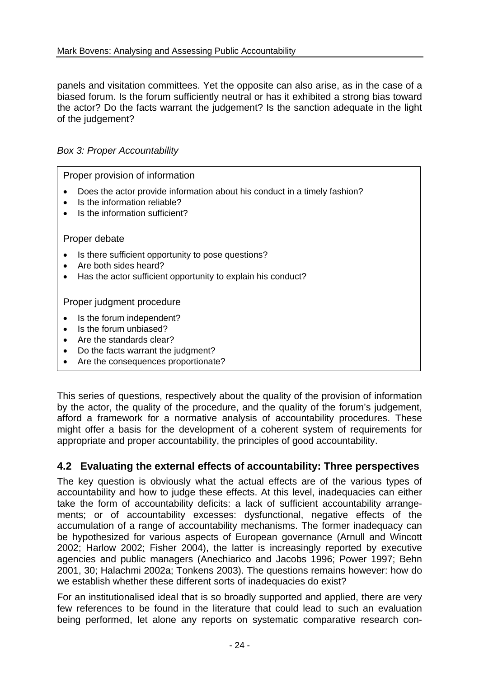panels and visitation committees. Yet the opposite can also arise, as in the case of a biased forum. Is the forum sufficiently neutral or has it exhibited a strong bias toward the actor? Do the facts warrant the judgement? Is the sanction adequate in the light of the judgement?

*Box 3: Proper Accountability*

| Proper provision of information                                                                                                                                                                          |  |  |  |  |  |
|----------------------------------------------------------------------------------------------------------------------------------------------------------------------------------------------------------|--|--|--|--|--|
| Does the actor provide information about his conduct in a timely fashion?<br>Is the information reliable?<br>$\bullet$<br>Is the information sufficient?<br>$\bullet$                                    |  |  |  |  |  |
| Proper debate                                                                                                                                                                                            |  |  |  |  |  |
| Is there sufficient opportunity to pose questions?<br>Are both sides heard?<br>$\bullet$<br>Has the actor sufficient opportunity to explain his conduct?<br>$\bullet$                                    |  |  |  |  |  |
| Proper judgment procedure                                                                                                                                                                                |  |  |  |  |  |
| Is the forum independent?<br>Is the forum unbiased?<br>$\bullet$<br>Are the standards clear?<br>$\bullet$<br>Do the facts warrant the judgment?<br>$\bullet$<br>Are the consequences proportionate?<br>٠ |  |  |  |  |  |

This series of questions, respectively about the quality of the provision of information by the actor, the quality of the procedure, and the quality of the forum's judgement, afford a framework for a normative analysis of accountability procedures. These might offer a basis for the development of a coherent system of requirements for appropriate and proper accountability, the principles of good accountability.

# **4.2 Evaluating the external effects of accountability: Three perspectives**

The key question is obviously what the actual effects are of the various types of accountability and how to judge these effects. At this level, inadequacies can either take the form of accountability deficits: a lack of sufficient accountability arrangements; or of accountability excesses: dysfunctional, negative effects of the accumulation of a range of accountability mechanisms. The former inadequacy can be hypothesized for various aspects of European governance (Arnull and Wincott 2002; Harlow 2002; Fisher 2004), the latter is increasingly reported by executive agencies and public managers (Anechiarico and Jacobs 1996; Power 1997; Behn 2001, 30; Halachmi 2002a; Tonkens 2003). The questions remains however: how do we establish whether these different sorts of inadequacies do exist?

For an institutionalised ideal that is so broadly supported and applied, there are very few references to be found in the literature that could lead to such an evaluation being performed, let alone any reports on systematic comparative research con-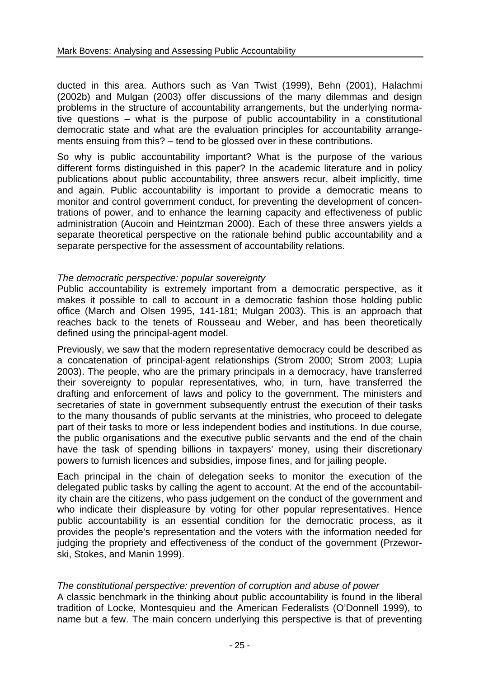ducted in this area. Authors such as Van Twist (1999), Behn (2001), Halachmi (2002b) and Mulgan (2003) offer discussions of the many dilemmas and design problems in the structure of accountability arrangements, but the underlying normative questions – what is the purpose of public accountability in a constitutional democratic state and what are the evaluation principles for accountability arrangements ensuing from this? – tend to be glossed over in these contributions.

So why is public accountability important? What is the purpose of the various different forms distinguished in this paper? In the academic literature and in policy publications about public accountability, three answers recur, albeit implicitly, time and again. Public accountability is important to provide a democratic means to monitor and control government conduct, for preventing the development of concentrations of power, and to enhance the learning capacity and effectiveness of public administration (Aucoin and Heintzman 2000). Each of these three answers yields a separate theoretical perspective on the rationale behind public accountability and a separate perspective for the assessment of accountability relations.

#### *The democratic perspective: popular sovereignty*

Public accountability is extremely important from a democratic perspective, as it makes it possible to call to account in a democratic fashion those holding public office (March and Olsen 1995, 141-181; Mulgan 2003). This is an approach that reaches back to the tenets of Rousseau and Weber, and has been theoretically defined using the principal-agent model.

Previously, we saw that the modern representative democracy could be described as a concatenation of principal-agent relationships (Strom 2000; Strom 2003; Lupia 2003). The people, who are the primary principals in a democracy, have transferred their sovereignty to popular representatives, who, in turn, have transferred the drafting and enforcement of laws and policy to the government. The ministers and secretaries of state in government subsequently entrust the execution of their tasks to the many thousands of public servants at the ministries, who proceed to delegate part of their tasks to more or less independent bodies and institutions. In due course, the public organisations and the executive public servants and the end of the chain have the task of spending billions in taxpayers' money, using their discretionary powers to furnish licences and subsidies, impose fines, and for jailing people.

Each principal in the chain of delegation seeks to monitor the execution of the delegated public tasks by calling the agent to account. At the end of the accountability chain are the citizens, who pass judgement on the conduct of the government and who indicate their displeasure by voting for other popular representatives. Hence public accountability is an essential condition for the democratic process, as it provides the people's representation and the voters with the information needed for judging the propriety and effectiveness of the conduct of the government (Przeworski, Stokes, and Manin 1999).

#### *The constitutional perspective: prevention of corruption and abuse of power*

A classic benchmark in the thinking about public accountability is found in the liberal tradition of Locke, Montesquieu and the American Federalists (O'Donnell 1999), to name but a few. The main concern underlying this perspective is that of preventing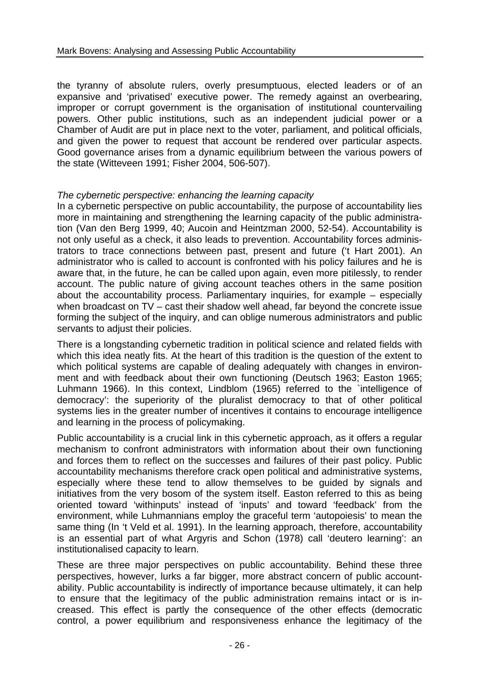the tyranny of absolute rulers, overly presumptuous, elected leaders or of an expansive and 'privatised' executive power. The remedy against an overbearing, improper or corrupt government is the organisation of institutional countervailing powers. Other public institutions, such as an independent judicial power or a Chamber of Audit are put in place next to the voter, parliament, and political officials, and given the power to request that account be rendered over particular aspects. Good governance arises from a dynamic equilibrium between the various powers of the state (Witteveen 1991; Fisher 2004, 506-507).

#### *The cybernetic perspective: enhancing the learning capacity*

In a cybernetic perspective on public accountability, the purpose of accountability lies more in maintaining and strengthening the learning capacity of the public administration (Van den Berg 1999, 40; Aucoin and Heintzman 2000, 52-54). Accountability is not only useful as a check, it also leads to prevention. Accountability forces administrators to trace connections between past, present and future ('t Hart 2001). An administrator who is called to account is confronted with his policy failures and he is aware that, in the future, he can be called upon again, even more pitilessly, to render account. The public nature of giving account teaches others in the same position about the accountability process. Parliamentary inquiries, for example – especially when broadcast on TV – cast their shadow well ahead, far beyond the concrete issue forming the subject of the inquiry, and can oblige numerous administrators and public servants to adjust their policies.

There is a longstanding cybernetic tradition in political science and related fields with which this idea neatly fits. At the heart of this tradition is the question of the extent to which political systems are capable of dealing adequately with changes in environment and with feedback about their own functioning (Deutsch 1963; Easton 1965; Luhmann 1966). In this context, Lindblom (1965) referred to the `intelligence of democracy': the superiority of the pluralist democracy to that of other political systems lies in the greater number of incentives it contains to encourage intelligence and learning in the process of policymaking.

Public accountability is a crucial link in this cybernetic approach, as it offers a regular mechanism to confront administrators with information about their own functioning and forces them to reflect on the successes and failures of their past policy. Public accountability mechanisms therefore crack open political and administrative systems, especially where these tend to allow themselves to be guided by signals and initiatives from the very bosom of the system itself. Easton referred to this as being oriented toward 'withinputs' instead of 'inputs' and toward 'feedback' from the environment, while Luhmannians employ the graceful term 'autopoiesis' to mean the same thing (In 't Veld et al. 1991). In the learning approach, therefore, accountability is an essential part of what Argyris and Schon (1978) call 'deutero learning': an institutionalised capacity to learn.

These are three major perspectives on public accountability. Behind these three perspectives, however, lurks a far bigger, more abstract concern of public accountability. Public accountability is indirectly of importance because ultimately, it can help to ensure that the legitimacy of the public administration remains intact or is increased. This effect is partly the consequence of the other effects (democratic control, a power equilibrium and responsiveness enhance the legitimacy of the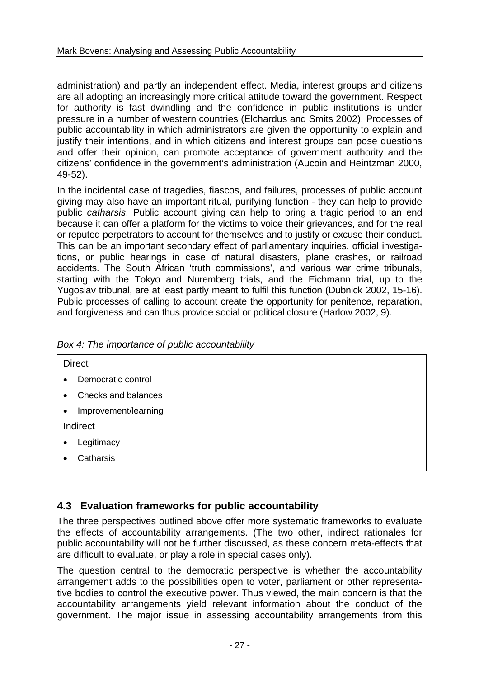administration) and partly an independent effect. Media, interest groups and citizens are all adopting an increasingly more critical attitude toward the government. Respect for authority is fast dwindling and the confidence in public institutions is under pressure in a number of western countries (Elchardus and Smits 2002). Processes of public accountability in which administrators are given the opportunity to explain and justify their intentions, and in which citizens and interest groups can pose questions and offer their opinion, can promote acceptance of government authority and the citizens' confidence in the government's administration (Aucoin and Heintzman 2000, 49-52).

In the incidental case of tragedies, fiascos, and failures, processes of public account giving may also have an important ritual, purifying function - they can help to provide public *catharsis*. Public account giving can help to bring a tragic period to an end because it can offer a platform for the victims to voice their grievances, and for the real or reputed perpetrators to account for themselves and to justify or excuse their conduct. This can be an important secondary effect of parliamentary inquiries, official investigations, or public hearings in case of natural disasters, plane crashes, or railroad accidents. The South African 'truth commissions', and various war crime tribunals, starting with the Tokyo and Nuremberg trials, and the Eichmann trial, up to the Yugoslav tribunal, are at least partly meant to fulfil this function (Dubnick 2002, 15-16). Public processes of calling to account create the opportunity for penitence, reparation, and forgiveness and can thus provide social or political closure (Harlow 2002, 9).

|  |  |  | Box 4: The importance of public accountability |
|--|--|--|------------------------------------------------|
|--|--|--|------------------------------------------------|

- Democratic control
- Checks and balances
- Improvement/learning

Indirect

- **Legitimacy**
- **Catharsis**

# **4.3 Evaluation frameworks for public accountability**

The three perspectives outlined above offer more systematic frameworks to evaluate the effects of accountability arrangements. (The two other, indirect rationales for public accountability will not be further discussed, as these concern meta-effects that are difficult to evaluate, or play a role in special cases only).

The question central to the democratic perspective is whether the accountability arrangement adds to the possibilities open to voter, parliament or other representative bodies to control the executive power. Thus viewed, the main concern is that the accountability arrangements yield relevant information about the conduct of the government. The major issue in assessing accountability arrangements from this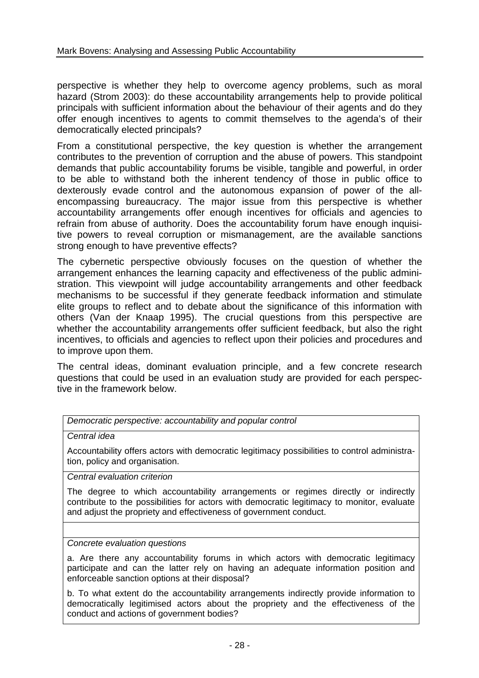perspective is whether they help to overcome agency problems, such as moral hazard (Strom 2003): do these accountability arrangements help to provide political principals with sufficient information about the behaviour of their agents and do they offer enough incentives to agents to commit themselves to the agenda's of their democratically elected principals?

From a constitutional perspective, the key question is whether the arrangement contributes to the prevention of corruption and the abuse of powers. This standpoint demands that public accountability forums be visible, tangible and powerful, in order to be able to withstand both the inherent tendency of those in public office to dexterously evade control and the autonomous expansion of power of the allencompassing bureaucracy. The major issue from this perspective is whether accountability arrangements offer enough incentives for officials and agencies to refrain from abuse of authority. Does the accountability forum have enough inquisitive powers to reveal corruption or mismanagement, are the available sanctions strong enough to have preventive effects?

The cybernetic perspective obviously focuses on the question of whether the arrangement enhances the learning capacity and effectiveness of the public administration. This viewpoint will judge accountability arrangements and other feedback mechanisms to be successful if they generate feedback information and stimulate elite groups to reflect and to debate about the significance of this information with others (Van der Knaap 1995). The crucial questions from this perspective are whether the accountability arrangements offer sufficient feedback, but also the right incentives, to officials and agencies to reflect upon their policies and procedures and to improve upon them.

The central ideas, dominant evaluation principle, and a few concrete research questions that could be used in an evaluation study are provided for each perspective in the framework below.

#### *Central idea*

Accountability offers actors with democratic legitimacy possibilities to control administration, policy and organisation.

*Central evaluation criterion* 

The degree to which accountability arrangements or regimes directly or indirectly contribute to the possibilities for actors with democratic legitimacy to monitor, evaluate and adjust the propriety and effectiveness of government conduct.

*Concrete evaluation questions* 

a. Are there any accountability forums in which actors with democratic legitimacy participate and can the latter rely on having an adequate information position and enforceable sanction options at their disposal?

b. To what extent do the accountability arrangements indirectly provide information to democratically legitimised actors about the propriety and the effectiveness of the conduct and actions of government bodies?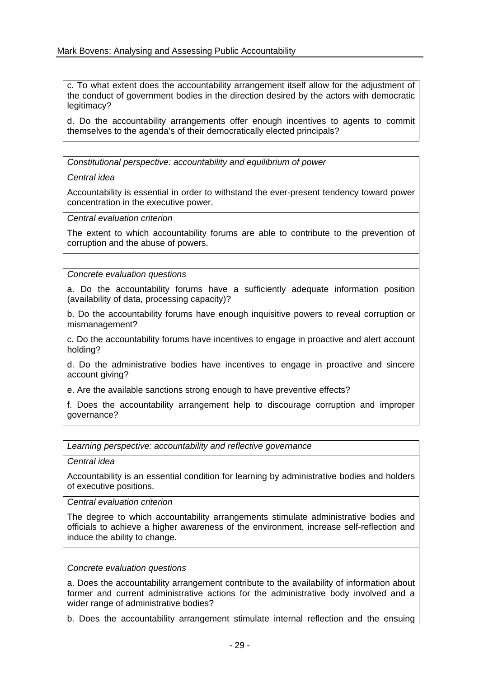c. To what extent does the accountability arrangement itself allow for the adjustment of the conduct of government bodies in the direction desired by the actors with democratic legitimacy?

d. Do the accountability arrangements offer enough incentives to agents to commit themselves to the agenda's of their democratically elected principals?

*Constitutional perspective: accountability and equilibrium of power* 

*Central idea* 

Accountability is essential in order to withstand the ever-present tendency toward power concentration in the executive power.

*Central evaluation criterion* 

The extent to which accountability forums are able to contribute to the prevention of corruption and the abuse of powers.

*Concrete evaluation questions* 

a. Do the accountability forums have a sufficiently adequate information position (availability of data, processing capacity)?

b. Do the accountability forums have enough inquisitive powers to reveal corruption or mismanagement?

c. Do the accountability forums have incentives to engage in proactive and alert account holding?

d. Do the administrative bodies have incentives to engage in proactive and sincere account giving?

e. Are the available sanctions strong enough to have preventive effects?

f. Does the accountability arrangement help to discourage corruption and improper governance?

*Learning perspective: accountability and reflective governance*

*Central idea* 

Accountability is an essential condition for learning by administrative bodies and holders of executive positions.

*Central evaluation criterion* 

The degree to which accountability arrangements stimulate administrative bodies and officials to achieve a higher awareness of the environment, increase self-reflection and induce the ability to change.

*Concrete evaluation questions* 

a. Does the accountability arrangement contribute to the availability of information about former and current administrative actions for the administrative body involved and a wider range of administrative bodies?

b. Does the accountability arrangement stimulate internal reflection and the ensuing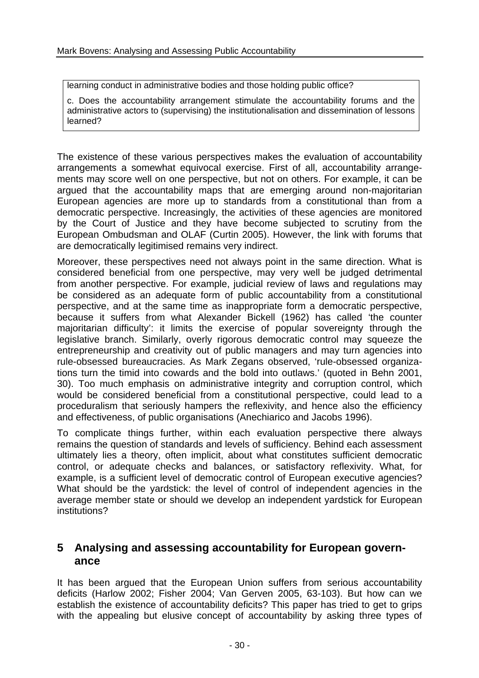learning conduct in administrative bodies and those holding public office?

c. Does the accountability arrangement stimulate the accountability forums and the administrative actors to (supervising) the institutionalisation and dissemination of lessons learned?

The existence of these various perspectives makes the evaluation of accountability arrangements a somewhat equivocal exercise. First of all, accountability arrangements may score well on one perspective, but not on others. For example, it can be argued that the accountability maps that are emerging around non-majoritarian European agencies are more up to standards from a constitutional than from a democratic perspective. Increasingly, the activities of these agencies are monitored by the Court of Justice and they have become subjected to scrutiny from the European Ombudsman and OLAF (Curtin 2005). However, the link with forums that are democratically legitimised remains very indirect.

Moreover, these perspectives need not always point in the same direction. What is considered beneficial from one perspective, may very well be judged detrimental from another perspective. For example, judicial review of laws and regulations may be considered as an adequate form of public accountability from a constitutional perspective, and at the same time as inappropriate form a democratic perspective, because it suffers from what Alexander Bickell (1962) has called 'the counter majoritarian difficulty': it limits the exercise of popular sovereignty through the legislative branch. Similarly, overly rigorous democratic control may squeeze the entrepreneurship and creativity out of public managers and may turn agencies into rule-obsessed bureaucracies. As Mark Zegans observed, 'rule-obsessed organizations turn the timid into cowards and the bold into outlaws.' (quoted in Behn 2001, 30). Too much emphasis on administrative integrity and corruption control, which would be considered beneficial from a constitutional perspective, could lead to a proceduralism that seriously hampers the reflexivity, and hence also the efficiency and effectiveness, of public organisations (Anechiarico and Jacobs 1996).

To complicate things further, within each evaluation perspective there always remains the question of standards and levels of sufficiency. Behind each assessment ultimately lies a theory, often implicit, about what constitutes sufficient democratic control, or adequate checks and balances, or satisfactory reflexivity. What, for example, is a sufficient level of democratic control of European executive agencies? What should be the yardstick: the level of control of independent agencies in the average member state or should we develop an independent yardstick for European institutions?

# **5 Analysing and assessing accountability for European governance**

It has been argued that the European Union suffers from serious accountability deficits (Harlow 2002; Fisher 2004; Van Gerven 2005, 63-103). But how can we establish the existence of accountability deficits? This paper has tried to get to grips with the appealing but elusive concept of accountability by asking three types of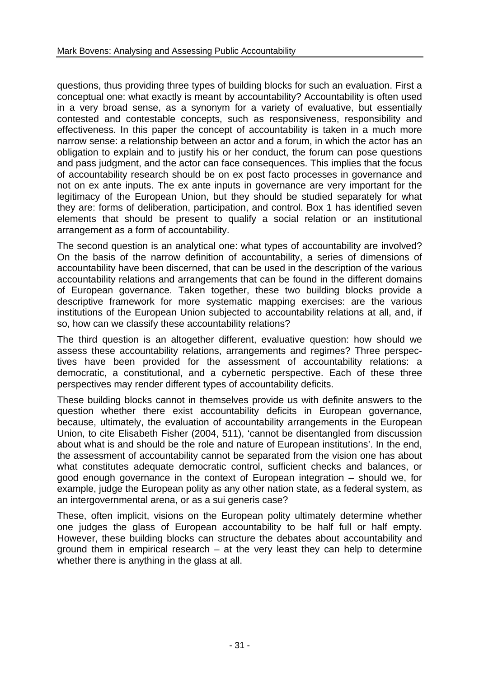questions, thus providing three types of building blocks for such an evaluation. First a conceptual one: what exactly is meant by accountability? Accountability is often used in a very broad sense, as a synonym for a variety of evaluative, but essentially contested and contestable concepts, such as responsiveness, responsibility and effectiveness. In this paper the concept of accountability is taken in a much more narrow sense: a relationship between an actor and a forum, in which the actor has an obligation to explain and to justify his or her conduct, the forum can pose questions and pass judgment, and the actor can face consequences. This implies that the focus of accountability research should be on ex post facto processes in governance and not on ex ante inputs. The ex ante inputs in governance are very important for the legitimacy of the European Union, but they should be studied separately for what they are: forms of deliberation, participation, and control. Box 1 has identified seven elements that should be present to qualify a social relation or an institutional arrangement as a form of accountability.

The second question is an analytical one: what types of accountability are involved? On the basis of the narrow definition of accountability, a series of dimensions of accountability have been discerned, that can be used in the description of the various accountability relations and arrangements that can be found in the different domains of European governance. Taken together, these two building blocks provide a descriptive framework for more systematic mapping exercises: are the various institutions of the European Union subjected to accountability relations at all, and, if so, how can we classify these accountability relations?

The third question is an altogether different, evaluative question: how should we assess these accountability relations, arrangements and regimes? Three perspectives have been provided for the assessment of accountability relations: a democratic, a constitutional, and a cybernetic perspective. Each of these three perspectives may render different types of accountability deficits.

These building blocks cannot in themselves provide us with definite answers to the question whether there exist accountability deficits in European governance, because, ultimately, the evaluation of accountability arrangements in the European Union, to cite Elisabeth Fisher (2004, 511), 'cannot be disentangled from discussion about what is and should be the role and nature of European institutions'. In the end, the assessment of accountability cannot be separated from the vision one has about what constitutes adequate democratic control, sufficient checks and balances, or good enough governance in the context of European integration – should we, for example, judge the European polity as any other nation state, as a federal system, as an intergovernmental arena, or as a sui generis case?

These, often implicit, visions on the European polity ultimately determine whether one judges the glass of European accountability to be half full or half empty. However, these building blocks can structure the debates about accountability and ground them in empirical research – at the very least they can help to determine whether there is anything in the glass at all.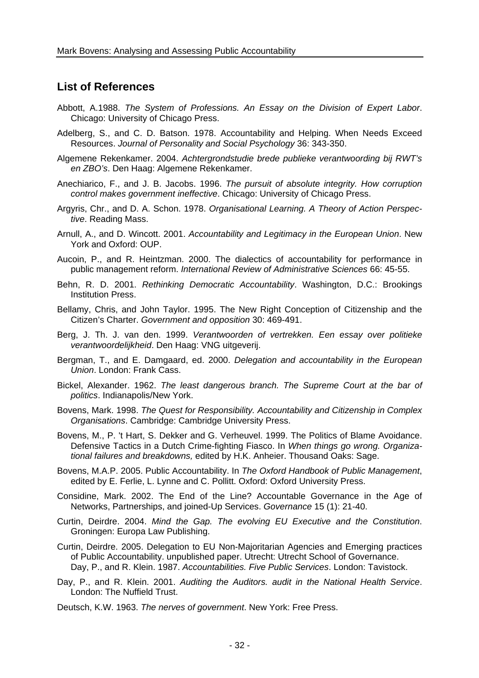### **List of References**

- Abbott, A.1988. *The System of Professions. An Essay on the Division of Expert Labor*. Chicago: University of Chicago Press.
- Adelberg, S., and C. D. Batson. 1978. Accountability and Helping. When Needs Exceed Resources. *Journal of Personality and Social Psychology* 36: 343-350.
- Algemene Rekenkamer. 2004. *Achtergrondstudie brede publieke verantwoording bij RWT's en ZBO's*. Den Haag: Algemene Rekenkamer.
- Anechiarico, F., and J. B. Jacobs. 1996. *The pursuit of absolute integrity. How corruption control makes government ineffective*. Chicago: University of Chicago Press.
- Argyris, Chr., and D. A. Schon. 1978. *Organisational Learning. A Theory of Action Perspective*. Reading Mass.
- Arnull, A., and D. Wincott. 2001. *Accountability and Legitimacy in the European Union*. New York and Oxford: OUP.
- Aucoin, P., and R. Heintzman. 2000. The dialectics of accountability for performance in public management reform. *International Review of Administrative Sciences* 66: 45-55.
- Behn, R. D. 2001. *Rethinking Democratic Accountability*. Washington, D.C.: Brookings Institution Press.
- Bellamy, Chris, and John Taylor. 1995. The New Right Conception of Citizenship and the Citizen's Charter. *Government and opposition* 30: 469-491.
- Berg, J. Th. J. van den. 1999. *Verantwoorden of vertrekken. Een essay over politieke verantwoordelijkheid*. Den Haag: VNG uitgeverij.
- Bergman, T., and E. Damgaard, ed. 2000. *Delegation and accountability in the European Union*. London: Frank Cass.
- Bickel, Alexander. 1962. *The least dangerous branch. The Supreme Court at the bar of politics*. Indianapolis/New York.
- Bovens, Mark. 1998. *The Quest for Responsibility. Accountability and Citizenship in Complex Organisations*. Cambridge: Cambridge University Press.
- Bovens, M., P. 't Hart, S. Dekker and G. Verheuvel. 1999. The Politics of Blame Avoidance. Defensive Tactics in a Dutch Crime-fighting Fiasco. In *When things go wrong. Organizational failures and breakdowns,* edited by H.K. Anheier. Thousand Oaks: Sage.
- Bovens, M.A.P. 2005. Public Accountability. In *The Oxford Handbook of Public Management*, edited by E. Ferlie, L. Lynne and C. Pollitt. Oxford: Oxford University Press.
- Considine, Mark. 2002. The End of the Line? Accountable Governance in the Age of Networks, Partnerships, and joined-Up Services. *Governance* 15 (1): 21-40.
- Curtin, Deirdre. 2004. *Mind the Gap. The evolving EU Executive and the Constitution*. Groningen: Europa Law Publishing.
- Curtin, Deirdre. 2005. Delegation to EU Non-Majoritarian Agencies and Emerging practices of Public Accountability. unpublished paper. Utrecht: Utrecht School of Governance. Day, P., and R. Klein. 1987. *Accountabilities. Five Public Services*. London: Tavistock.
- Day, P., and R. Klein. 2001. *Auditing the Auditors. audit in the National Health Service*. London: The Nuffield Trust.
- Deutsch, K.W. 1963. *The nerves of government*. New York: Free Press.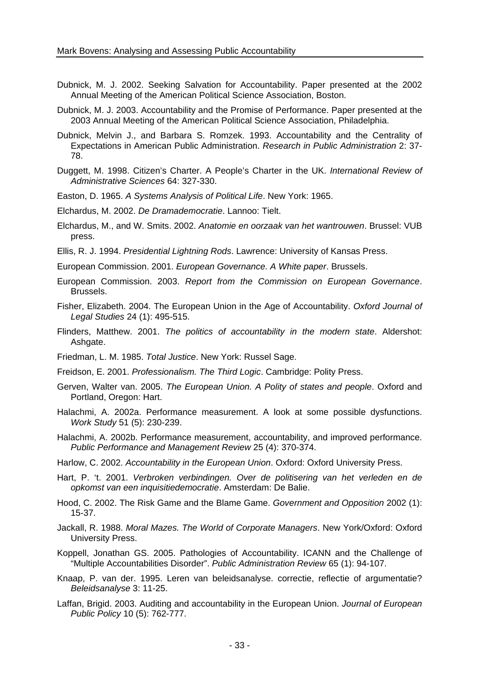- Dubnick, M. J. 2002. Seeking Salvation for Accountability. Paper presented at the 2002 Annual Meeting of the American Political Science Association, Boston.
- Dubnick, M. J. 2003. Accountability and the Promise of Performance. Paper presented at the 2003 Annual Meeting of the American Political Science Association, Philadelphia.
- Dubnick, Melvin J., and Barbara S. Romzek. 1993. Accountability and the Centrality of Expectations in American Public Administration. *Research in Public Administration* 2: 37- 78.
- Duggett, M. 1998. Citizen's Charter. A People's Charter in the UK. *International Review of Administrative Sciences* 64: 327-330.
- Easton, D. 1965. *A Systems Analysis of Political Life*. New York: 1965.
- Elchardus, M. 2002. *De Dramademocratie*. Lannoo: Tielt.
- Elchardus, M., and W. Smits. 2002. *Anatomie en oorzaak van het wantrouwen*. Brussel: VUB press.
- Ellis, R. J. 1994. *Presidential Lightning Rods*. Lawrence: University of Kansas Press.
- European Commission. 2001. *European Governance. A White paper*. Brussels.
- European Commission. 2003. *Report from the Commission on European Governance*. Brussels.
- Fisher, Elizabeth. 2004. The European Union in the Age of Accountability. *Oxford Journal of Legal Studies* 24 (1): 495-515.
- Flinders, Matthew. 2001. *The politics of accountability in the modern state*. Aldershot: Ashgate.
- Friedman, L. M. 1985. *Total Justice*. New York: Russel Sage.
- Freidson, E. 2001. *Professionalism. The Third Logic*. Cambridge: Polity Press.
- Gerven, Walter van. 2005. *The European Union. A Polity of states and people*. Oxford and Portland, Oregon: Hart.
- Halachmi, A. 2002a. Performance measurement. A look at some possible dysfunctions. *Work Study* 51 (5): 230-239.
- Halachmi, A. 2002b. Performance measurement, accountability, and improved performance. *Public Performance and Management Review* 25 (4): 370-374.
- Harlow, C. 2002. *Accountability in the European Union*. Oxford: Oxford University Press.
- Hart, P. 't. 2001. *Verbroken verbindingen. Over de politisering van het verleden en de opkomst van een inquisitiedemocratie*. Amsterdam: De Balie.
- Hood, C. 2002. The Risk Game and the Blame Game. *Government and Opposition* 2002 (1): 15-37.
- Jackall, R. 1988. *Moral Mazes. The World of Corporate Managers*. New York/Oxford: Oxford University Press.
- Koppell, Jonathan GS. 2005. Pathologies of Accountability. ICANN and the Challenge of "Multiple Accountabilities Disorder". *Public Administration Review* 65 (1): 94-107.
- Knaap, P. van der. 1995. Leren van beleidsanalyse. correctie, reflectie of argumentatie? *Beleidsanalyse* 3: 11-25.
- Laffan, Brigid. 2003. Auditing and accountability in the European Union. *Journal of European Public Policy* 10 (5): 762-777.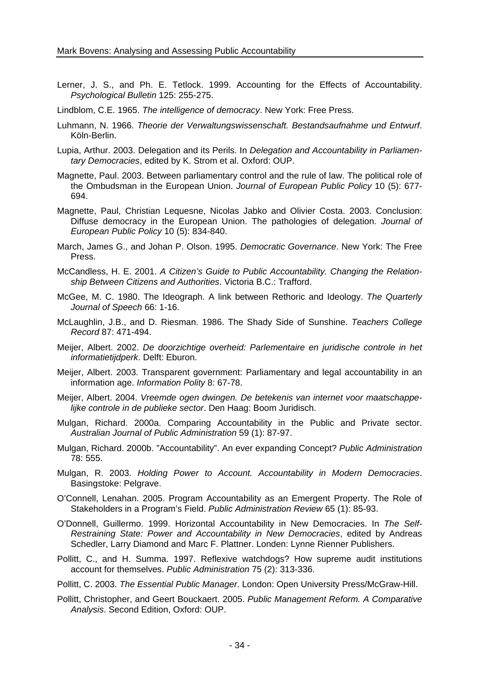Lerner, J. S., and Ph. E. Tetlock. 1999. Accounting for the Effects of Accountability. *Psychological Bulletin* 125: 255-275.

Lindblom, C.E. 1965. *The intelligence of democracy*. New York: Free Press.

- Luhmann, N. 1966. *Theorie der Verwaltungswissenschaft. Bestandsaufnahme und Entwurf*. Köln-Berlin.
- Lupia, Arthur. 2003. Delegation and its Perils. In *Delegation and Accountability in Parliamentary Democracies*, edited by K. Strom et al. Oxford: OUP.
- Magnette, Paul. 2003. Between parliamentary control and the rule of law. The political role of the Ombudsman in the European Union. *Journal of European Public Policy* 10 (5): 677- 694.
- Magnette, Paul, Christian Lequesne, Nicolas Jabko and Olivier Costa. 2003. Conclusion: Diffuse democracy in the European Union. The pathologies of delegation. *Journal of European Public Policy* 10 (5): 834-840.
- March, James G., and Johan P. Olson. 1995. *Democratic Governance*. New York: The Free Press.
- McCandless, H. E. 2001. *A Citizen's Guide to Public Accountability. Changing the Relationship Between Citizens and Authorities*. Victoria B.C.: Trafford.
- McGee, M. C. 1980. The Ideograph. A link between Rethoric and Ideology. *The Quarterly Journal of Speech* 66: 1-16.
- McLaughlin, J.B., and D. Riesman. 1986. The Shady Side of Sunshine. *Teachers College Record* 87: 471-494.
- Meijer, Albert. 2002. *De doorzichtige overheid: Parlementaire en juridische controle in het informatietijdperk*. Delft: Eburon.
- Meijer, Albert. 2003. Transparent government: Parliamentary and legal accountability in an information age. *Information Polity* 8: 67-78.
- Meijer, Albert. 2004. *Vreemde ogen dwingen. De betekenis van internet voor maatschappelijke controle in de publieke sector*. Den Haag: Boom Juridisch.
- Mulgan, Richard. 2000a. Comparing Accountability in the Public and Private sector. *Australian Journal of Public Administration* 59 (1): 87-97.
- Mulgan, Richard. 2000b. "Accountability". An ever expanding Concept? *Public Administration*  78: 555.
- Mulgan, R. 2003. *Holding Power to Account. Accountability in Modern Democracies*. Basingstoke: Pelgrave.
- O'Connell, Lenahan. 2005. Program Accountability as an Emergent Property. The Role of Stakeholders in a Program's Field. *Public Administration Review* 65 (1): 85-93.
- O'Donnell, Guillermo. 1999. Horizontal Accountability in New Democracies. In *The Self-Restraining State: Power and Accountability in New Democracies*, edited by Andreas Schedler, Larry Diamond and Marc F. Plattner. Londen: Lynne Rienner Publishers.
- Pollitt, C., and H. Summa. 1997. Reflexive watchdogs? How supreme audit institutions account for themselves. *Public Administration* 75 (2): 313-336.
- Pollitt, C. 2003. *The Essential Public Manager*. London: Open University Press/McGraw-Hill.
- Pollitt, Christopher, and Geert Bouckaert. 2005. *Public Management Reform. A Comparative Analysis*. Second Edition, Oxford: OUP.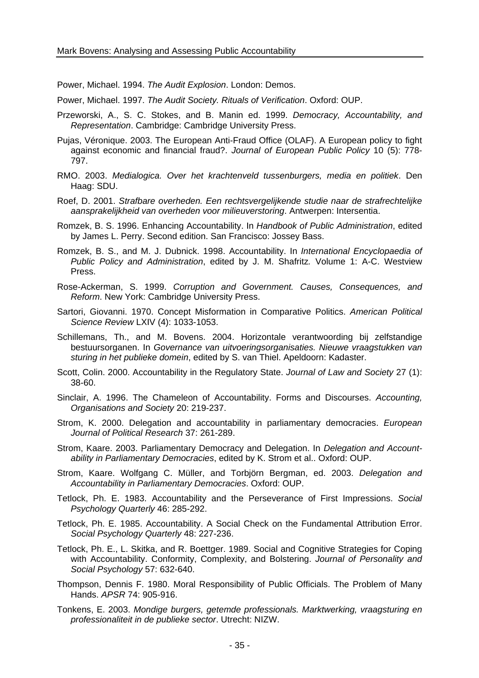Power, Michael. 1994. *The Audit Explosion*. London: Demos.

Power, Michael. 1997. *The Audit Society. Rituals of Verification*. Oxford: OUP.

- Przeworski, A., S. C. Stokes, and B. Manin ed. 1999. *Democracy, Accountability, and Representation*. Cambridge: Cambridge University Press.
- Pujas, Véronique. 2003. The European Anti-Fraud Office (OLAF). A European policy to fight against economic and financial fraud?. *Journal of European Public Policy* 10 (5): 778- 797.
- RMO. 2003. *Medialogica. Over het krachtenveld tussenburgers, media en politiek*. Den Haag: SDU.
- Roef, D. 2001. *Strafbare overheden. Een rechtsvergelijkende studie naar de strafrechtelijke aansprakelijkheid van overheden voor milieuverstoring*. Antwerpen: Intersentia.
- Romzek, B. S. 1996. Enhancing Accountability. In *Handbook of Public Administration*, edited by James L. Perry. Second edition. San Francisco: Jossey Bass.
- Romzek, B. S., and M. J. Dubnick. 1998. Accountability. In *International Encyclopaedia of Public Policy and Administration*, edited by J. M. Shafritz*.* Volume 1: A-C. Westview Press.
- Rose-Ackerman, S. 1999. *Corruption and Government. Causes, Consequences, and Reform*. New York: Cambridge University Press.
- Sartori, Giovanni. 1970. Concept Misformation in Comparative Politics. *American Political Science Review* LXIV (4): 1033-1053.
- Schillemans, Th., and M. Bovens. 2004. Horizontale verantwoording bij zelfstandige bestuursorganen. In *Governance van uitvoeringsorganisaties. Nieuwe vraagstukken van sturing in het publieke domein*, edited by S. van Thiel. Apeldoorn: Kadaster.
- Scott, Colin. 2000. Accountability in the Regulatory State. *Journal of Law and Society* 27 (1): 38-60.
- Sinclair, A. 1996. The Chameleon of Accountability. Forms and Discourses. *Accounting, Organisations and Society* 20: 219-237.
- Strom, K. 2000. Delegation and accountability in parliamentary democracies. *European Journal of Political Research* 37: 261-289.
- Strom, Kaare. 2003. Parliamentary Democracy and Delegation. In *Delegation and Accountability in Parliamentary Democracies*, edited by K. Strom et al.. Oxford: OUP.
- Strom, Kaare. Wolfgang C. Müller, and Torbjörn Bergman, ed. 2003. *Delegation and Accountability in Parliamentary Democracies*. Oxford: OUP.
- Tetlock, Ph. E. 1983. Accountability and the Perseverance of First Impressions. *Social Psychology Quarterly* 46: 285-292.
- Tetlock, Ph. E. 1985. Accountability. A Social Check on the Fundamental Attribution Error. *Social Psychology Quarterly* 48: 227-236.
- Tetlock, Ph. E., L. Skitka, and R. Boettger. 1989. Social and Cognitive Strategies for Coping with Accountability. Conformity, Complexity, and Bolstering. *Journal of Personality and Social Psychology* 57: 632-640.
- Thompson, Dennis F. 1980. Moral Responsibility of Public Officials. The Problem of Many Hands. *APSR* 74: 905-916.
- Tonkens, E. 2003. *Mondige burgers, getemde professionals. Marktwerking, vraagsturing en professionaliteit in de publieke sector*. Utrecht: NIZW.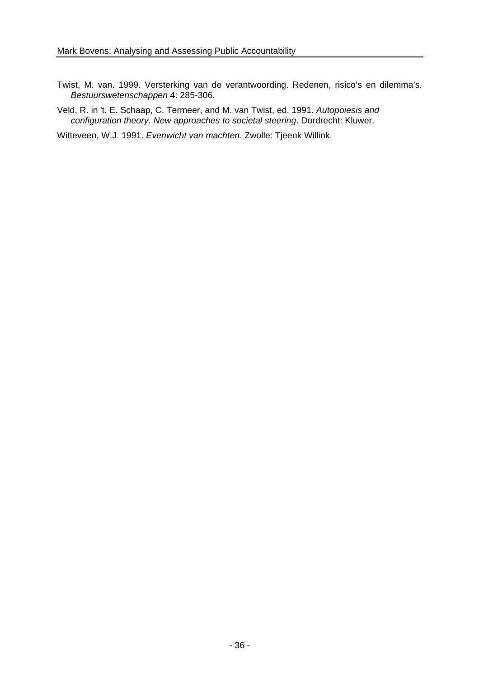- Twist, M. van. 1999. Versterking van de verantwoording. Redenen, risico's en dilemma's. *Bestuurswetenschappen* 4: 285-306.
- Veld, R. in 't, E. Schaap, C. Termeer, and M. van Twist, ed. 1991. *Autopoiesis and configuration theory. New approaches to societal steering*. Dordrecht: Kluwer.

Witteveen, W.J. 1991. *Evenwicht van machten*. Zwolle: Tjeenk Willink.